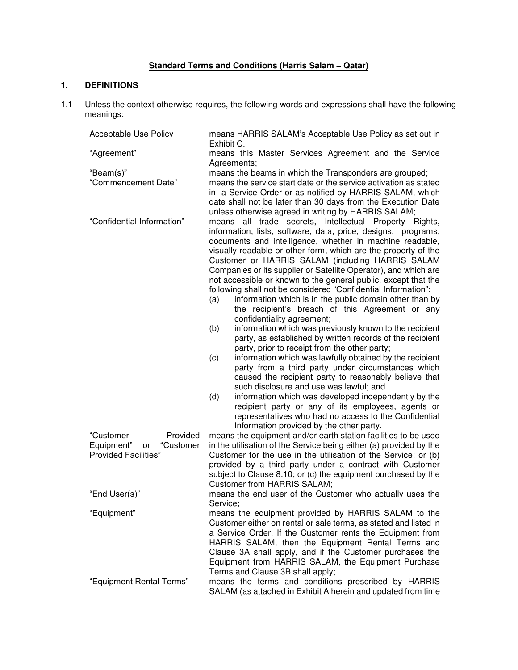# **Standard Terms and Conditions (Harris Salam – Qatar)**

# **1. DEFINITIONS**

1.1 Unless the context otherwise requires, the following words and expressions shall have the following meanings:

| Acceptable Use Policy         | means HARRIS SALAM's Acceptable Use Policy as set out in<br>Exhibit C.                                                      |  |  |
|-------------------------------|-----------------------------------------------------------------------------------------------------------------------------|--|--|
| "Agreement"                   | means this Master Services Agreement and the Service<br>Agreements;                                                         |  |  |
| "Beam(s)"                     | means the beams in which the Transponders are grouped;                                                                      |  |  |
| "Commencement Date"           | means the service start date or the service activation as stated                                                            |  |  |
|                               | in a Service Order or as notified by HARRIS SALAM, which                                                                    |  |  |
|                               | date shall not be later than 30 days from the Execution Date                                                                |  |  |
|                               | unless otherwise agreed in writing by HARRIS SALAM;                                                                         |  |  |
| "Confidential Information"    | all trade secrets, Intellectual Property<br>means<br>Rights,                                                                |  |  |
|                               | information, lists, software, data, price, designs, programs,                                                               |  |  |
|                               | documents and intelligence, whether in machine readable,                                                                    |  |  |
|                               | visually readable or other form, which are the property of the                                                              |  |  |
|                               | Customer or HARRIS SALAM (including HARRIS SALAM                                                                            |  |  |
|                               | Companies or its supplier or Satellite Operator), and which are                                                             |  |  |
|                               | not accessible or known to the general public, except that the                                                              |  |  |
|                               | following shall not be considered "Confidential Information":                                                               |  |  |
|                               | information which is in the public domain other than by<br>(a)                                                              |  |  |
|                               | the recipient's breach of this Agreement or any                                                                             |  |  |
|                               | confidentiality agreement;                                                                                                  |  |  |
|                               | information which was previously known to the recipient<br>(b)<br>party, as established by written records of the recipient |  |  |
|                               | party, prior to receipt from the other party;                                                                               |  |  |
|                               | information which was lawfully obtained by the recipient<br>(c)                                                             |  |  |
|                               | party from a third party under circumstances which                                                                          |  |  |
|                               | caused the recipient party to reasonably believe that                                                                       |  |  |
|                               | such disclosure and use was lawful; and                                                                                     |  |  |
|                               | information which was developed independently by the<br>(d)                                                                 |  |  |
|                               | recipient party or any of its employees, agents or                                                                          |  |  |
|                               | representatives who had no access to the Confidential                                                                       |  |  |
|                               | Information provided by the other party.                                                                                    |  |  |
| "Customer<br>Provided         | means the equipment and/or earth station facilities to be used                                                              |  |  |
| "Customer<br>Equipment"<br>or | in the utilisation of the Service being either (a) provided by the                                                          |  |  |
| <b>Provided Facilities"</b>   | Customer for the use in the utilisation of the Service; or (b)                                                              |  |  |
|                               | provided by a third party under a contract with Customer                                                                    |  |  |
|                               | subject to Clause 8.10; or (c) the equipment purchased by the                                                               |  |  |
|                               | Customer from HARRIS SALAM;                                                                                                 |  |  |
| "End User(s)"                 | means the end user of the Customer who actually uses the                                                                    |  |  |
| "Equipment"                   | Service;<br>means the equipment provided by HARRIS SALAM to the                                                             |  |  |
|                               | Customer either on rental or sale terms, as stated and listed in                                                            |  |  |
|                               | a Service Order. If the Customer rents the Equipment from                                                                   |  |  |
|                               | HARRIS SALAM, then the Equipment Rental Terms and                                                                           |  |  |
|                               | Clause 3A shall apply, and if the Customer purchases the                                                                    |  |  |
|                               | Equipment from HARRIS SALAM, the Equipment Purchase                                                                         |  |  |
|                               | Terms and Clause 3B shall apply;                                                                                            |  |  |
| "Equipment Rental Terms"      | means the terms and conditions prescribed by HARRIS                                                                         |  |  |
|                               | SALAM (as attached in Exhibit A herein and updated from time                                                                |  |  |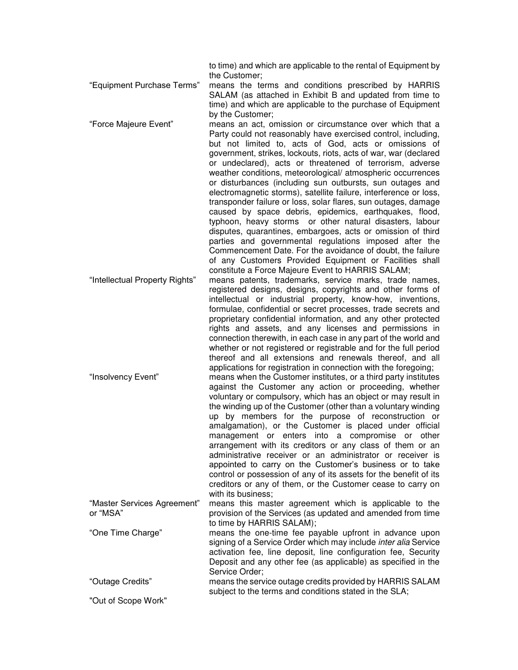to time) and which are applicable to the rental of Equipment by the Customer;

"Equipment Purchase Terms" means the terms and conditions prescribed by HARRIS SALAM (as attached in Exhibit B and updated from time to time) and which are applicable to the purchase of Equipment by the Customer;

"Force Majeure Event" means an act, omission or circumstance over which that a Party could not reasonably have exercised control, including, but not limited to, acts of God, acts or omissions of government, strikes, lockouts, riots, acts of war, war (declared or undeclared), acts or threatened of terrorism, adverse weather conditions, meteorological/ atmospheric occurrences or disturbances (including sun outbursts, sun outages and electromagnetic storms), satellite failure, interference or loss, transponder failure or loss, solar flares, sun outages, damage caused by space debris, epidemics, earthquakes, flood, typhoon, heavy storms or other natural disasters, labour disputes, quarantines, embargoes, acts or omission of third parties and governmental regulations imposed after the Commencement Date. For the avoidance of doubt, the failure of any Customers Provided Equipment or Facilities shall constitute a Force Majeure Event to HARRIS SALAM;

"Intellectual Property Rights" means patents, trademarks, service marks, trade names, registered designs, designs, copyrights and other forms of intellectual or industrial property, know-how, inventions, formulae, confidential or secret processes, trade secrets and proprietary confidential information, and any other protected rights and assets, and any licenses and permissions in connection therewith, in each case in any part of the world and whether or not registered or registrable and for the full period thereof and all extensions and renewals thereof, and all applications for registration in connection with the foregoing;

"Insolvency Event" means when the Customer institutes, or a third party institutes against the Customer any action or proceeding, whether voluntary or compulsory, which has an object or may result in the winding up of the Customer (other than a voluntary winding up by members for the purpose of reconstruction or amalgamation), or the Customer is placed under official management or enters into a compromise or other arrangement with its creditors or any class of them or an administrative receiver or an administrator or receiver is appointed to carry on the Customer's business or to take control or possession of any of its assets for the benefit of its creditors or any of them, or the Customer cease to carry on with its business: "Master Services Agreement" means this master agreement which is applicable to the

or "MSA" provision of the Services (as updated and amended from time to time by HARRIS SALAM);

"One Time Charge" means the one-time fee payable upfront in advance upon signing of a Service Order which may include *inter alia* Service activation fee, line deposit, line configuration fee, Security Deposit and any other fee (as applicable) as specified in the Service Order; "Outage Credits" means the service outage credits provided by HARRIS SALAM

subject to the terms and conditions stated in the SLA;

"Out of Scope Work"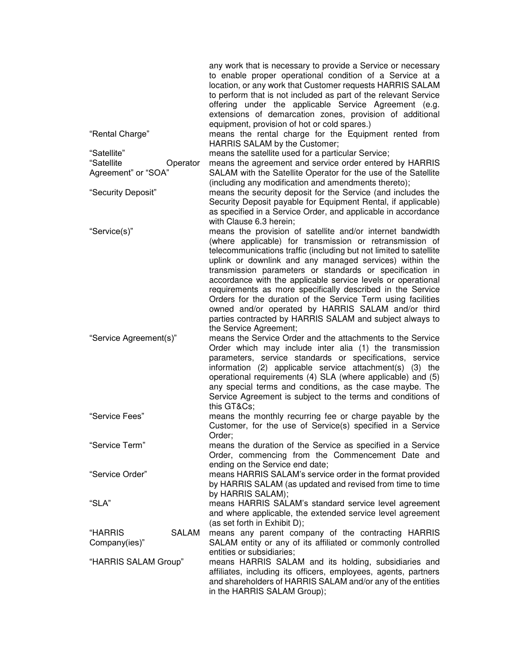|                                               | any work that is necessary to provide a Service or necessary<br>to enable proper operational condition of a Service at a<br>location, or any work that Customer requests HARRIS SALAM<br>to perform that is not included as part of the relevant Service<br>offering under the applicable Service Agreement (e.g.<br>extensions of demarcation zones, provision of additional<br>equipment, provision of hot or cold spares.) |
|-----------------------------------------------|-------------------------------------------------------------------------------------------------------------------------------------------------------------------------------------------------------------------------------------------------------------------------------------------------------------------------------------------------------------------------------------------------------------------------------|
| "Rental Charge"                               | means the rental charge for the Equipment rented from<br>HARRIS SALAM by the Customer;                                                                                                                                                                                                                                                                                                                                        |
| "Satellite"                                   | means the satellite used for a particular Service;                                                                                                                                                                                                                                                                                                                                                                            |
| "Satellite<br>Operator<br>Agreement" or "SOA" | means the agreement and service order entered by HARRIS<br>SALAM with the Satellite Operator for the use of the Satellite                                                                                                                                                                                                                                                                                                     |
|                                               | (including any modification and amendments thereto);                                                                                                                                                                                                                                                                                                                                                                          |
| "Security Deposit"                            | means the security deposit for the Service (and includes the                                                                                                                                                                                                                                                                                                                                                                  |
|                                               | Security Deposit payable for Equipment Rental, if applicable)                                                                                                                                                                                                                                                                                                                                                                 |
|                                               | as specified in a Service Order, and applicable in accordance                                                                                                                                                                                                                                                                                                                                                                 |
| "Service(s)"                                  | with Clause 6.3 herein;<br>means the provision of satellite and/or internet bandwidth                                                                                                                                                                                                                                                                                                                                         |
|                                               | (where applicable) for transmission or retransmission of<br>telecommunications traffic (including but not limited to satellite<br>uplink or downlink and any managed services) within the                                                                                                                                                                                                                                     |
|                                               | transmission parameters or standards or specification in                                                                                                                                                                                                                                                                                                                                                                      |
|                                               | accordance with the applicable service levels or operational                                                                                                                                                                                                                                                                                                                                                                  |
|                                               | requirements as more specifically described in the Service<br>Orders for the duration of the Service Term using facilities                                                                                                                                                                                                                                                                                                    |
|                                               | owned and/or operated by HARRIS SALAM and/or third                                                                                                                                                                                                                                                                                                                                                                            |
|                                               | parties contracted by HARRIS SALAM and subject always to                                                                                                                                                                                                                                                                                                                                                                      |
|                                               | the Service Agreement;                                                                                                                                                                                                                                                                                                                                                                                                        |
| "Service Agreement(s)"                        | means the Service Order and the attachments to the Service                                                                                                                                                                                                                                                                                                                                                                    |
|                                               | Order which may include inter alia (1) the transmission<br>parameters, service standards or specifications, service                                                                                                                                                                                                                                                                                                           |
|                                               | information (2) applicable service attachment(s) (3) the                                                                                                                                                                                                                                                                                                                                                                      |
|                                               | operational requirements (4) SLA (where applicable) and (5)                                                                                                                                                                                                                                                                                                                                                                   |
|                                               | any special terms and conditions, as the case maybe. The                                                                                                                                                                                                                                                                                                                                                                      |
|                                               | Service Agreement is subject to the terms and conditions of<br>this GT&Cs                                                                                                                                                                                                                                                                                                                                                     |
| "Service Fees"                                | means the monthly recurring fee or charge payable by the                                                                                                                                                                                                                                                                                                                                                                      |
|                                               | Customer, for the use of Service(s) specified in a Service                                                                                                                                                                                                                                                                                                                                                                    |
|                                               | Order;                                                                                                                                                                                                                                                                                                                                                                                                                        |
| "Service Term"                                | means the duration of the Service as specified in a Service<br>Order, commencing from the Commencement Date and                                                                                                                                                                                                                                                                                                               |
|                                               | ending on the Service end date;                                                                                                                                                                                                                                                                                                                                                                                               |
| "Service Order"                               | means HARRIS SALAM's service order in the format provided<br>by HARRIS SALAM (as updated and revised from time to time                                                                                                                                                                                                                                                                                                        |
|                                               | by HARRIS SALAM);                                                                                                                                                                                                                                                                                                                                                                                                             |
| "SLA"                                         | means HARRIS SALAM's standard service level agreement                                                                                                                                                                                                                                                                                                                                                                         |
|                                               | and where applicable, the extended service level agreement                                                                                                                                                                                                                                                                                                                                                                    |
|                                               | (as set forth in Exhibit D);                                                                                                                                                                                                                                                                                                                                                                                                  |
| <b>SALAM</b><br>"HARRIS                       | means any parent company of the contracting HARRIS<br>SALAM entity or any of its affiliated or commonly controlled                                                                                                                                                                                                                                                                                                            |
| Company(ies)"                                 | entities or subsidiaries;                                                                                                                                                                                                                                                                                                                                                                                                     |
| "HARRIS SALAM Group"                          | means HARRIS SALAM and its holding, subsidiaries and                                                                                                                                                                                                                                                                                                                                                                          |
|                                               | affiliates, including its officers, employees, agents, partners                                                                                                                                                                                                                                                                                                                                                               |
|                                               | and shareholders of HARRIS SALAM and/or any of the entities                                                                                                                                                                                                                                                                                                                                                                   |
|                                               | in the HARRIS SALAM Group);                                                                                                                                                                                                                                                                                                                                                                                                   |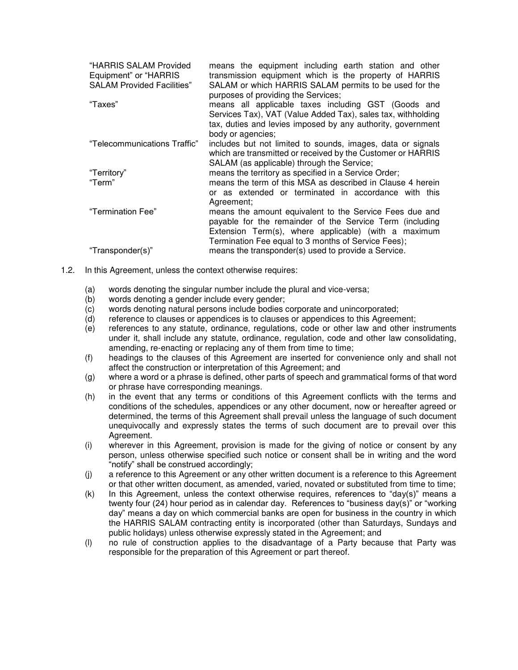| "HARRIS SALAM Provided<br>Equipment" or "HARRIS"<br><b>SALAM Provided Facilities"</b> | means the equipment including earth station and other<br>transmission equipment which is the property of HARRIS<br>SALAM or which HARRIS SALAM permits to be used for the<br>purposes of providing the Services;                   |
|---------------------------------------------------------------------------------------|------------------------------------------------------------------------------------------------------------------------------------------------------------------------------------------------------------------------------------|
| "Taxes"                                                                               | means all applicable taxes including GST (Goods and<br>Services Tax), VAT (Value Added Tax), sales tax, withholding<br>tax, duties and levies imposed by any authority, government<br>body or agencies:                            |
| "Telecommunications Traffic"                                                          | includes but not limited to sounds, images, data or signals<br>which are transmitted or received by the Customer or HARRIS<br>SALAM (as applicable) through the Service;                                                           |
| "Territory"                                                                           | means the territory as specified in a Service Order;                                                                                                                                                                               |
| "Term"                                                                                | means the term of this MSA as described in Clause 4 herein<br>or as extended or terminated in accordance with this<br>Agreement;                                                                                                   |
| "Termination Fee"                                                                     | means the amount equivalent to the Service Fees due and<br>payable for the remainder of the Service Term (including<br>Extension Term(s), where applicable) (with a maximum<br>Termination Fee equal to 3 months of Service Fees); |
| "Transponder(s)"                                                                      | means the transponder(s) used to provide a Service.                                                                                                                                                                                |

- 1.2. In this Agreement, unless the context otherwise requires:
	- (a) words denoting the singular number include the plural and vice-versa;
	- (b) words denoting a gender include every gender;
	- (c) words denoting natural persons include bodies corporate and unincorporated;
	- (d) reference to clauses or appendices is to clauses or appendices to this Agreement;
	- (e) references to any statute, ordinance, regulations, code or other law and other instruments under it, shall include any statute, ordinance, regulation, code and other law consolidating, amending, re-enacting or replacing any of them from time to time;
	- (f) headings to the clauses of this Agreement are inserted for convenience only and shall not affect the construction or interpretation of this Agreement; and
	- (g) where a word or a phrase is defined, other parts of speech and grammatical forms of that word or phrase have corresponding meanings.
	- (h) in the event that any terms or conditions of this Agreement conflicts with the terms and conditions of the schedules, appendices or any other document, now or hereafter agreed or determined, the terms of this Agreement shall prevail unless the language of such document unequivocally and expressly states the terms of such document are to prevail over this Agreement.
	- (i) wherever in this Agreement, provision is made for the giving of notice or consent by any person, unless otherwise specified such notice or consent shall be in writing and the word "notify" shall be construed accordingly;
	- (j) a reference to this Agreement or any other written document is a reference to this Agreement or that other written document, as amended, varied, novated or substituted from time to time;
	- (k) In this Agreement, unless the context otherwise requires, references to "day(s)" means a twenty four (24) hour period as in calendar day. References to "business day(s)" or "working day" means a day on which commercial banks are open for business in the country in which the HARRIS SALAM contracting entity is incorporated (other than Saturdays, Sundays and public holidays) unless otherwise expressly stated in the Agreement; and
	- (l) no rule of construction applies to the disadvantage of a Party because that Party was responsible for the preparation of this Agreement or part thereof.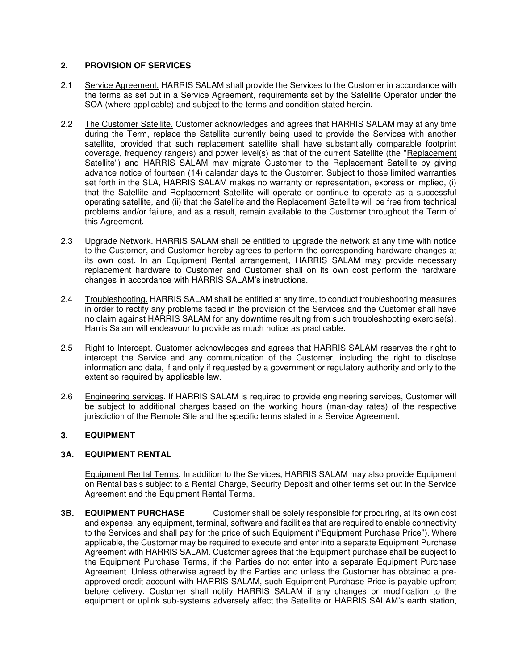## **2. PROVISION OF SERVICES**

- 2.1 Service Agreement. HARRIS SALAM shall provide the Services to the Customer in accordance with the terms as set out in a Service Agreement, requirements set by the Satellite Operator under the SOA (where applicable) and subject to the terms and condition stated herein.
- 2.2 The Customer Satellite. Customer acknowledges and agrees that HARRIS SALAM may at any time during the Term, replace the Satellite currently being used to provide the Services with another satellite, provided that such replacement satellite shall have substantially comparable footprint coverage, frequency range(s) and power level(s) as that of the current Satellite (the "Replacement Satellite") and HARRIS SALAM may migrate Customer to the Replacement Satellite by giving advance notice of fourteen (14) calendar days to the Customer. Subject to those limited warranties set forth in the SLA, HARRIS SALAM makes no warranty or representation, express or implied, (i) that the Satellite and Replacement Satellite will operate or continue to operate as a successful operating satellite, and (ii) that the Satellite and the Replacement Satellite will be free from technical problems and/or failure, and as a result, remain available to the Customer throughout the Term of this Agreement.
- 2.3 Upgrade Network. HARRIS SALAM shall be entitled to upgrade the network at any time with notice to the Customer, and Customer hereby agrees to perform the corresponding hardware changes at its own cost. In an Equipment Rental arrangement, HARRIS SALAM may provide necessary replacement hardware to Customer and Customer shall on its own cost perform the hardware changes in accordance with HARRIS SALAM's instructions.
- 2.4 Troubleshooting. HARRIS SALAM shall be entitled at any time, to conduct troubleshooting measures in order to rectify any problems faced in the provision of the Services and the Customer shall have no claim against HARRIS SALAM for any downtime resulting from such troubleshooting exercise(s). Harris Salam will endeavour to provide as much notice as practicable.
- 2.5 Right to Intercept. Customer acknowledges and agrees that HARRIS SALAM reserves the right to intercept the Service and any communication of the Customer, including the right to disclose information and data, if and only if requested by a government or regulatory authority and only to the extent so required by applicable law.
- 2.6 Engineering services. If HARRIS SALAM is required to provide engineering services, Customer will be subject to additional charges based on the working hours (man-day rates) of the respective jurisdiction of the Remote Site and the specific terms stated in a Service Agreement.

## **3. EQUIPMENT**

## **3A. EQUIPMENT RENTAL**

Equipment Rental Terms. In addition to the Services, HARRIS SALAM may also provide Equipment on Rental basis subject to a Rental Charge, Security Deposit and other terms set out in the Service Agreement and the Equipment Rental Terms.

**3B. EQUIPMENT PURCHASE** Customer shall be solely responsible for procuring, at its own cost and expense, any equipment, terminal, software and facilities that are required to enable connectivity to the Services and shall pay for the price of such Equipment ("Equipment Purchase Price"). Where applicable, the Customer may be required to execute and enter into a separate Equipment Purchase Agreement with HARRIS SALAM. Customer agrees that the Equipment purchase shall be subject to the Equipment Purchase Terms, if the Parties do not enter into a separate Equipment Purchase Agreement. Unless otherwise agreed by the Parties and unless the Customer has obtained a preapproved credit account with HARRIS SALAM, such Equipment Purchase Price is payable upfront before delivery. Customer shall notify HARRIS SALAM if any changes or modification to the equipment or uplink sub-systems adversely affect the Satellite or HARRIS SALAM's earth station,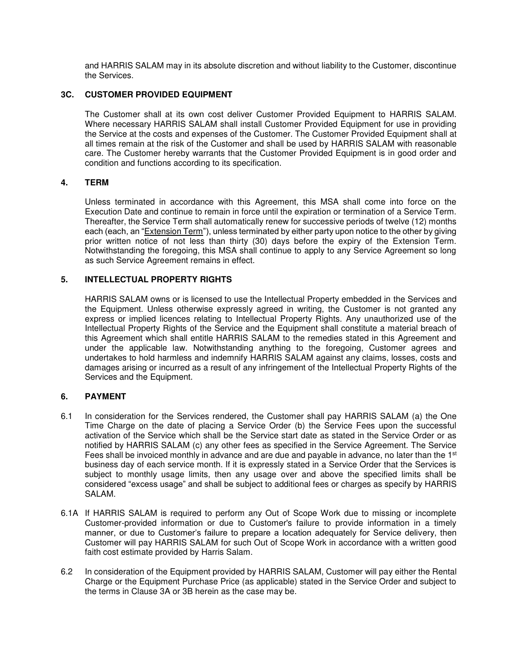and HARRIS SALAM may in its absolute discretion and without liability to the Customer, discontinue the Services.

## **3C. CUSTOMER PROVIDED EQUIPMENT**

The Customer shall at its own cost deliver Customer Provided Equipment to HARRIS SALAM. Where necessary HARRIS SALAM shall install Customer Provided Equipment for use in providing the Service at the costs and expenses of the Customer. The Customer Provided Equipment shall at all times remain at the risk of the Customer and shall be used by HARRIS SALAM with reasonable care. The Customer hereby warrants that the Customer Provided Equipment is in good order and condition and functions according to its specification.

#### **4. TERM**

 Unless terminated in accordance with this Agreement, this MSA shall come into force on the Execution Date and continue to remain in force until the expiration or termination of a Service Term. Thereafter, the Service Term shall automatically renew for successive periods of twelve (12) months each (each, an "Extension Term"), unless terminated by either party upon notice to the other by giving prior written notice of not less than thirty (30) days before the expiry of the Extension Term. Notwithstanding the foregoing, this MSA shall continue to apply to any Service Agreement so long as such Service Agreement remains in effect.

#### **5. INTELLECTUAL PROPERTY RIGHTS**

HARRIS SALAM owns or is licensed to use the Intellectual Property embedded in the Services and the Equipment. Unless otherwise expressly agreed in writing, the Customer is not granted any express or implied licences relating to Intellectual Property Rights. Any unauthorized use of the Intellectual Property Rights of the Service and the Equipment shall constitute a material breach of this Agreement which shall entitle HARRIS SALAM to the remedies stated in this Agreement and under the applicable law. Notwithstanding anything to the foregoing, Customer agrees and undertakes to hold harmless and indemnify HARRIS SALAM against any claims, losses, costs and damages arising or incurred as a result of any infringement of the Intellectual Property Rights of the Services and the Equipment.

#### **6. PAYMENT**

- 6.1 In consideration for the Services rendered, the Customer shall pay HARRIS SALAM (a) the One Time Charge on the date of placing a Service Order (b) the Service Fees upon the successful activation of the Service which shall be the Service start date as stated in the Service Order or as notified by HARRIS SALAM (c) any other fees as specified in the Service Agreement. The Service Fees shall be invoiced monthly in advance and are due and payable in advance, no later than the 1<sup>st</sup> business day of each service month. If it is expressly stated in a Service Order that the Services is subject to monthly usage limits, then any usage over and above the specified limits shall be considered "excess usage" and shall be subject to additional fees or charges as specify by HARRIS SALAM.
- 6.1A If HARRIS SALAM is required to perform any Out of Scope Work due to missing or incomplete Customer-provided information or due to Customer's failure to provide information in a timely manner, or due to Customer's failure to prepare a location adequately for Service delivery, then Customer will pay HARRIS SALAM for such Out of Scope Work in accordance with a written good faith cost estimate provided by Harris Salam.
- 6.2 In consideration of the Equipment provided by HARRIS SALAM, Customer will pay either the Rental Charge or the Equipment Purchase Price (as applicable) stated in the Service Order and subject to the terms in Clause 3A or 3B herein as the case may be.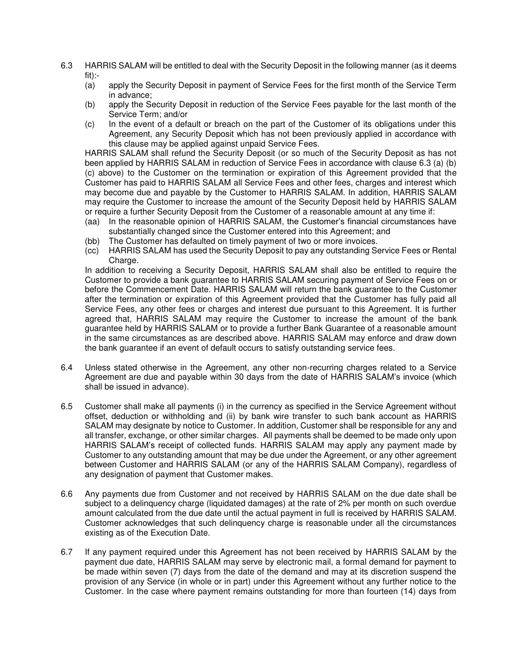- 6.3 HARRIS SALAM will be entitled to deal with the Security Deposit in the following manner (as it deems fit):-
	- (a) apply the Security Deposit in payment of Service Fees for the first month of the Service Term in advance;
	- (b) apply the Security Deposit in reduction of the Service Fees payable for the last month of the Service Term; and/or
	- (c) In the event of a default or breach on the part of the Customer of its obligations under this Agreement, any Security Deposit which has not been previously applied in accordance with this clause may be applied against unpaid Service Fees.

HARRIS SALAM shall refund the Security Deposit (or so much of the Security Deposit as has not been applied by HARRIS SALAM in reduction of Service Fees in accordance with clause 6.3 (a) (b) (c) above) to the Customer on the termination or expiration of this Agreement provided that the Customer has paid to HARRIS SALAM all Service Fees and other fees, charges and interest which may become due and payable by the Customer to HARRIS SALAM. In addition, HARRIS SALAM may require the Customer to increase the amount of the Security Deposit held by HARRIS SALAM or require a further Security Deposit from the Customer of a reasonable amount at any time if:

- (aa) In the reasonable opinion of HARRIS SALAM, the Customer's financial circumstances have substantially changed since the Customer entered into this Agreement; and
- (bb) The Customer has defaulted on timely payment of two or more invoices.
- (cc) HARRIS SALAM has used the Security Deposit to pay any outstanding Service Fees or Rental Charge.

 In addition to receiving a Security Deposit, HARRIS SALAM shall also be entitled to require the Customer to provide a bank guarantee to HARRIS SALAM securing payment of Service Fees on or before the Commencement Date. HARRIS SALAM will return the bank guarantee to the Customer after the termination or expiration of this Agreement provided that the Customer has fully paid all Service Fees, any other fees or charges and interest due pursuant to this Agreement. It is further agreed that, HARRIS SALAM may require the Customer to increase the amount of the bank guarantee held by HARRIS SALAM or to provide a further Bank Guarantee of a reasonable amount in the same circumstances as are described above. HARRIS SALAM may enforce and draw down the bank guarantee if an event of default occurs to satisfy outstanding service fees.

- 6.4 Unless stated otherwise in the Agreement, any other non-recurring charges related to a Service Agreement are due and payable within 30 days from the date of HARRIS SALAM's invoice (which shall be issued in advance).
- 6.5 Customer shall make all payments (i) in the currency as specified in the Service Agreement without offset, deduction or withholding and (ii) by bank wire transfer to such bank account as HARRIS SALAM may designate by notice to Customer. In addition, Customer shall be responsible for any and all transfer, exchange, or other similar charges. All payments shall be deemed to be made only upon HARRIS SALAM's receipt of collected funds. HARRIS SALAM may apply any payment made by Customer to any outstanding amount that may be due under the Agreement, or any other agreement between Customer and HARRIS SALAM (or any of the HARRIS SALAM Company), regardless of any designation of payment that Customer makes.
- 6.6 Any payments due from Customer and not received by HARRIS SALAM on the due date shall be subject to a delinquency charge (liquidated damages) at the rate of 2% per month on such overdue amount calculated from the due date until the actual payment in full is received by HARRIS SALAM. Customer acknowledges that such delinquency charge is reasonable under all the circumstances existing as of the Execution Date.
- 6.7 If any payment required under this Agreement has not been received by HARRIS SALAM by the payment due date, HARRIS SALAM may serve by electronic mail, a formal demand for payment to be made within seven (7) days from the date of the demand and may at its discretion suspend the provision of any Service (in whole or in part) under this Agreement without any further notice to the Customer. In the case where payment remains outstanding for more than fourteen (14) days from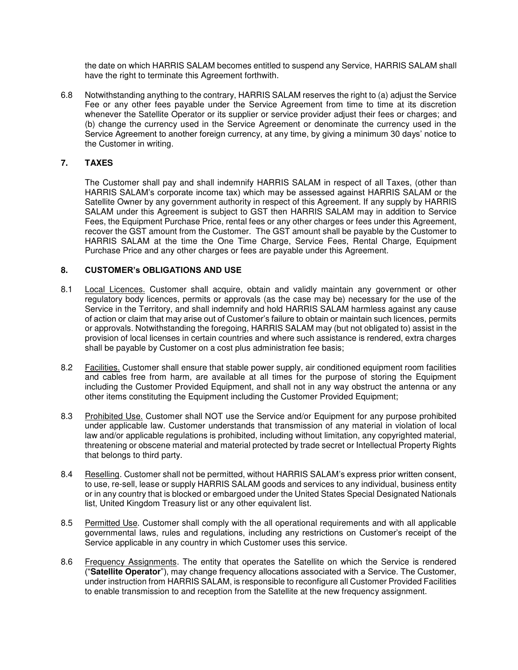the date on which HARRIS SALAM becomes entitled to suspend any Service, HARRIS SALAM shall have the right to terminate this Agreement forthwith.

6.8 Notwithstanding anything to the contrary, HARRIS SALAM reserves the right to (a) adjust the Service Fee or any other fees payable under the Service Agreement from time to time at its discretion whenever the Satellite Operator or its supplier or service provider adjust their fees or charges; and (b) change the currency used in the Service Agreement or denominate the currency used in the Service Agreement to another foreign currency, at any time, by giving a minimum 30 days' notice to the Customer in writing.

## **7. TAXES**

The Customer shall pay and shall indemnify HARRIS SALAM in respect of all Taxes, (other than HARRIS SALAM's corporate income tax) which may be assessed against HARRIS SALAM or the Satellite Owner by any government authority in respect of this Agreement. If any supply by HARRIS SALAM under this Agreement is subject to GST then HARRIS SALAM may in addition to Service Fees, the Equipment Purchase Price, rental fees or any other charges or fees under this Agreement, recover the GST amount from the Customer. The GST amount shall be payable by the Customer to HARRIS SALAM at the time the One Time Charge, Service Fees, Rental Charge, Equipment Purchase Price and any other charges or fees are payable under this Agreement.

#### **8. CUSTOMER's OBLIGATIONS AND USE**

- 8.1 Local Licences. Customer shall acquire, obtain and validly maintain any government or other regulatory body licences, permits or approvals (as the case may be) necessary for the use of the Service in the Territory, and shall indemnify and hold HARRIS SALAM harmless against any cause of action or claim that may arise out of Customer's failure to obtain or maintain such licences, permits or approvals. Notwithstanding the foregoing, HARRIS SALAM may (but not obligated to) assist in the provision of local licenses in certain countries and where such assistance is rendered, extra charges shall be payable by Customer on a cost plus administration fee basis;
- 8.2 Facilities. Customer shall ensure that stable power supply, air conditioned equipment room facilities and cables free from harm, are available at all times for the purpose of storing the Equipment including the Customer Provided Equipment, and shall not in any way obstruct the antenna or any other items constituting the Equipment including the Customer Provided Equipment;
- 8.3 Prohibited Use. Customer shall NOT use the Service and/or Equipment for any purpose prohibited under applicable law. Customer understands that transmission of any material in violation of local law and/or applicable regulations is prohibited, including without limitation, any copyrighted material, threatening or obscene material and material protected by trade secret or Intellectual Property Rights that belongs to third party.
- 8.4 Reselling. Customer shall not be permitted, without HARRIS SALAM's express prior written consent, to use, re-sell, lease or supply HARRIS SALAM goods and services to any individual, business entity or in any country that is blocked or embargoed under the United States Special Designated Nationals list, United Kingdom Treasury list or any other equivalent list.
- 8.5 Permitted Use. Customer shall comply with the all operational requirements and with all applicable governmental laws, rules and regulations, including any restrictions on Customer's receipt of the Service applicable in any country in which Customer uses this service.
- 8.6 Frequency Assignments. The entity that operates the Satellite on which the Service is rendered ("**Satellite Operator**"), may change frequency allocations associated with a Service. The Customer, under instruction from HARRIS SALAM, is responsible to reconfigure all Customer Provided Facilities to enable transmission to and reception from the Satellite at the new frequency assignment.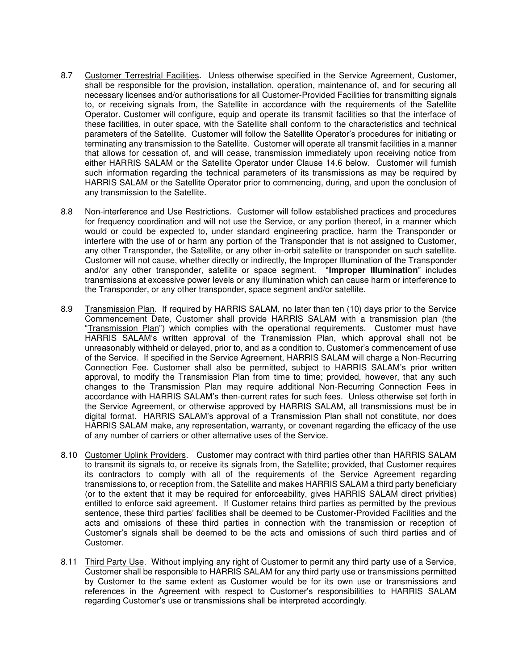- 8.7 Customer Terrestrial Facilities. Unless otherwise specified in the Service Agreement, Customer, shall be responsible for the provision, installation, operation, maintenance of, and for securing all necessary licenses and/or authorisations for all Customer-Provided Facilities for transmitting signals to, or receiving signals from, the Satellite in accordance with the requirements of the Satellite Operator. Customer will configure, equip and operate its transmit facilities so that the interface of these facilities, in outer space, with the Satellite shall conform to the characteristics and technical parameters of the Satellite. Customer will follow the Satellite Operator's procedures for initiating or terminating any transmission to the Satellite. Customer will operate all transmit facilities in a manner that allows for cessation of, and will cease, transmission immediately upon receiving notice from either HARRIS SALAM or the Satellite Operator under Clause 14.6 below. Customer will furnish such information regarding the technical parameters of its transmissions as may be required by HARRIS SALAM or the Satellite Operator prior to commencing, during, and upon the conclusion of any transmission to the Satellite.
- 8.8 Non-interference and Use Restrictions. Customer will follow established practices and procedures for frequency coordination and will not use the Service, or any portion thereof, in a manner which would or could be expected to, under standard engineering practice, harm the Transponder or interfere with the use of or harm any portion of the Transponder that is not assigned to Customer, any other Transponder, the Satellite, or any other in-orbit satellite or transponder on such satellite. Customer will not cause, whether directly or indirectly, the Improper Illumination of the Transponder and/or any other transponder, satellite or space segment. "**Improper Illumination**" includes transmissions at excessive power levels or any illumination which can cause harm or interference to the Transponder, or any other transponder, space segment and/or satellite.
- 8.9 Transmission Plan. If required by HARRIS SALAM, no later than ten (10) days prior to the Service Commencement Date, Customer shall provide HARRIS SALAM with a transmission plan (the "Transmission Plan") which complies with the operational requirements. Customer must have HARRIS SALAM's written approval of the Transmission Plan, which approval shall not be unreasonably withheld or delayed, prior to, and as a condition to, Customer's commencement of use of the Service. If specified in the Service Agreement, HARRIS SALAM will charge a Non-Recurring Connection Fee. Customer shall also be permitted, subject to HARRIS SALAM's prior written approval, to modify the Transmission Plan from time to time; provided, however, that any such changes to the Transmission Plan may require additional Non-Recurring Connection Fees in accordance with HARRIS SALAM's then-current rates for such fees. Unless otherwise set forth in the Service Agreement, or otherwise approved by HARRIS SALAM, all transmissions must be in digital format. HARRIS SALAM's approval of a Transmission Plan shall not constitute, nor does HARRIS SALAM make, any representation, warranty, or covenant regarding the efficacy of the use of any number of carriers or other alternative uses of the Service.
- 8.10 Customer Uplink Providers. Customer may contract with third parties other than HARRIS SALAM to transmit its signals to, or receive its signals from, the Satellite; provided, that Customer requires its contractors to comply with all of the requirements of the Service Agreement regarding transmissions to, or reception from, the Satellite and makes HARRIS SALAM a third party beneficiary (or to the extent that it may be required for enforceability, gives HARRIS SALAM direct privities) entitled to enforce said agreement. If Customer retains third parties as permitted by the previous sentence, these third parties' facilities shall be deemed to be Customer-Provided Facilities and the acts and omissions of these third parties in connection with the transmission or reception of Customer's signals shall be deemed to be the acts and omissions of such third parties and of Customer.
- 8.11 Third Party Use. Without implying any right of Customer to permit any third party use of a Service, Customer shall be responsible to HARRIS SALAM for any third party use or transmissions permitted by Customer to the same extent as Customer would be for its own use or transmissions and references in the Agreement with respect to Customer's responsibilities to HARRIS SALAM regarding Customer's use or transmissions shall be interpreted accordingly.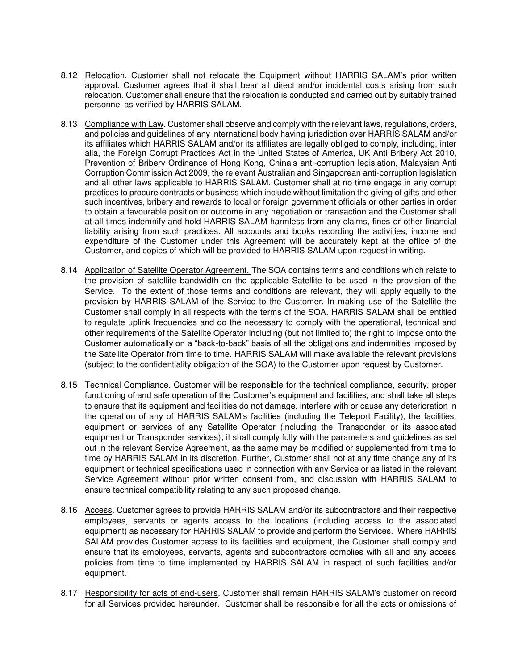- 8.12 Relocation. Customer shall not relocate the Equipment without HARRIS SALAM's prior written approval. Customer agrees that it shall bear all direct and/or incidental costs arising from such relocation. Customer shall ensure that the relocation is conducted and carried out by suitably trained personnel as verified by HARRIS SALAM.
- 8.13 Compliance with Law. Customer shall observe and comply with the relevant laws, regulations, orders, and policies and guidelines of any international body having jurisdiction over HARRIS SALAM and/or its affiliates which HARRIS SALAM and/or its affiliates are legally obliged to comply, including, inter alia, the Foreign Corrupt Practices Act in the United States of America, UK Anti Bribery Act 2010, Prevention of Bribery Ordinance of Hong Kong, China's anti-corruption legislation, Malaysian Anti Corruption Commission Act 2009, the relevant Australian and Singaporean anti-corruption legislation and all other laws applicable to HARRIS SALAM. Customer shall at no time engage in any corrupt practices to procure contracts or business which include without limitation the giving of gifts and other such incentives, bribery and rewards to local or foreign government officials or other parties in order to obtain a favourable position or outcome in any negotiation or transaction and the Customer shall at all times indemnify and hold HARRIS SALAM harmless from any claims, fines or other financial liability arising from such practices. All accounts and books recording the activities, income and expenditure of the Customer under this Agreement will be accurately kept at the office of the Customer, and copies of which will be provided to HARRIS SALAM upon request in writing.
- 8.14 Application of Satellite Operator Agreement. The SOA contains terms and conditions which relate to the provision of satellite bandwidth on the applicable Satellite to be used in the provision of the Service. To the extent of those terms and conditions are relevant, they will apply equally to the provision by HARRIS SALAM of the Service to the Customer. In making use of the Satellite the Customer shall comply in all respects with the terms of the SOA. HARRIS SALAM shall be entitled to regulate uplink frequencies and do the necessary to comply with the operational, technical and other requirements of the Satellite Operator including (but not limited to) the right to impose onto the Customer automatically on a "back-to-back" basis of all the obligations and indemnities imposed by the Satellite Operator from time to time. HARRIS SALAM will make available the relevant provisions (subject to the confidentiality obligation of the SOA) to the Customer upon request by Customer.
- 8.15 Technical Compliance. Customer will be responsible for the technical compliance, security, proper functioning of and safe operation of the Customer's equipment and facilities, and shall take all steps to ensure that its equipment and facilities do not damage, interfere with or cause any deterioration in the operation of any of HARRIS SALAM's facilities (including the Teleport Facility), the facilities, equipment or services of any Satellite Operator (including the Transponder or its associated equipment or Transponder services); it shall comply fully with the parameters and guidelines as set out in the relevant Service Agreement, as the same may be modified or supplemented from time to time by HARRIS SALAM in its discretion. Further, Customer shall not at any time change any of its equipment or technical specifications used in connection with any Service or as listed in the relevant Service Agreement without prior written consent from, and discussion with HARRIS SALAM to ensure technical compatibility relating to any such proposed change.
- 8.16 Access. Customer agrees to provide HARRIS SALAM and/or its subcontractors and their respective employees, servants or agents access to the locations (including access to the associated equipment) as necessary for HARRIS SALAM to provide and perform the Services. Where HARRIS SALAM provides Customer access to its facilities and equipment, the Customer shall comply and ensure that its employees, servants, agents and subcontractors complies with all and any access policies from time to time implemented by HARRIS SALAM in respect of such facilities and/or equipment.
- 8.17 Responsibility for acts of end-users. Customer shall remain HARRIS SALAM's customer on record for all Services provided hereunder. Customer shall be responsible for all the acts or omissions of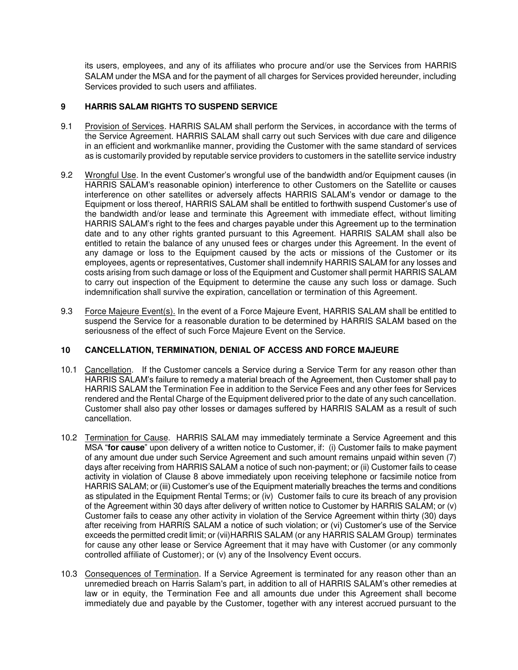its users, employees, and any of its affiliates who procure and/or use the Services from HARRIS SALAM under the MSA and for the payment of all charges for Services provided hereunder, including Services provided to such users and affiliates.

# **9 HARRIS SALAM RIGHTS TO SUSPEND SERVICE**

- 9.1 Provision of Services. HARRIS SALAM shall perform the Services, in accordance with the terms of the Service Agreement. HARRIS SALAM shall carry out such Services with due care and diligence in an efficient and workmanlike manner, providing the Customer with the same standard of services as is customarily provided by reputable service providers to customers in the satellite service industry
- 9.2 Wrongful Use. In the event Customer's wrongful use of the bandwidth and/or Equipment causes (in HARRIS SALAM's reasonable opinion) interference to other Customers on the Satellite or causes interference on other satellites or adversely affects HARRIS SALAM's vendor or damage to the Equipment or loss thereof, HARRIS SALAM shall be entitled to forthwith suspend Customer's use of the bandwidth and/or lease and terminate this Agreement with immediate effect, without limiting HARRIS SALAM's right to the fees and charges payable under this Agreement up to the termination date and to any other rights granted pursuant to this Agreement. HARRIS SALAM shall also be entitled to retain the balance of any unused fees or charges under this Agreement. In the event of any damage or loss to the Equipment caused by the acts or missions of the Customer or its employees, agents or representatives, Customer shall indemnify HARRIS SALAM for any losses and costs arising from such damage or loss of the Equipment and Customer shall permit HARRIS SALAM to carry out inspection of the Equipment to determine the cause any such loss or damage. Such indemnification shall survive the expiration, cancellation or termination of this Agreement.
- 9.3 Force Majeure Event(s). In the event of a Force Majeure Event, HARRIS SALAM shall be entitled to suspend the Service for a reasonable duration to be determined by HARRIS SALAM based on the seriousness of the effect of such Force Majeure Event on the Service.

## **10 CANCELLATION, TERMINATION, DENIAL OF ACCESS AND FORCE MAJEURE**

- 10.1 Cancellation. If the Customer cancels a Service during a Service Term for any reason other than HARRIS SALAM's failure to remedy a material breach of the Agreement, then Customer shall pay to HARRIS SALAM the Termination Fee in addition to the Service Fees and any other fees for Services rendered and the Rental Charge of the Equipment delivered prior to the date of any such cancellation. Customer shall also pay other losses or damages suffered by HARRIS SALAM as a result of such cancellation.
- 10.2 Termination for Cause. HARRIS SALAM may immediately terminate a Service Agreement and this MSA "**for cause**" upon delivery of a written notice to Customer, if: (i) Customer fails to make payment of any amount due under such Service Agreement and such amount remains unpaid within seven (7) days after receiving from HARRIS SALAM a notice of such non-payment; or (ii) Customer fails to cease activity in violation of Clause 8 above immediately upon receiving telephone or facsimile notice from HARRIS SALAM; or (iii) Customer's use of the Equipment materially breaches the terms and conditions as stipulated in the Equipment Rental Terms; or (iv) Customer fails to cure its breach of any provision of the Agreement within 30 days after delivery of written notice to Customer by HARRIS SALAM; or (v) Customer fails to cease any other activity in violation of the Service Agreement within thirty (30) days after receiving from HARRIS SALAM a notice of such violation; or (vi) Customer's use of the Service exceeds the permitted credit limit; or (vii)HARRIS SALAM (or any HARRIS SALAM Group) terminates for cause any other lease or Service Agreement that it may have with Customer (or any commonly controlled affiliate of Customer); or (v) any of the Insolvency Event occurs.
- 10.3 Consequences of Termination. If a Service Agreement is terminated for any reason other than an unremedied breach on Harris Salam's part, in addition to all of HARRIS SALAM's other remedies at law or in equity, the Termination Fee and all amounts due under this Agreement shall become immediately due and payable by the Customer, together with any interest accrued pursuant to the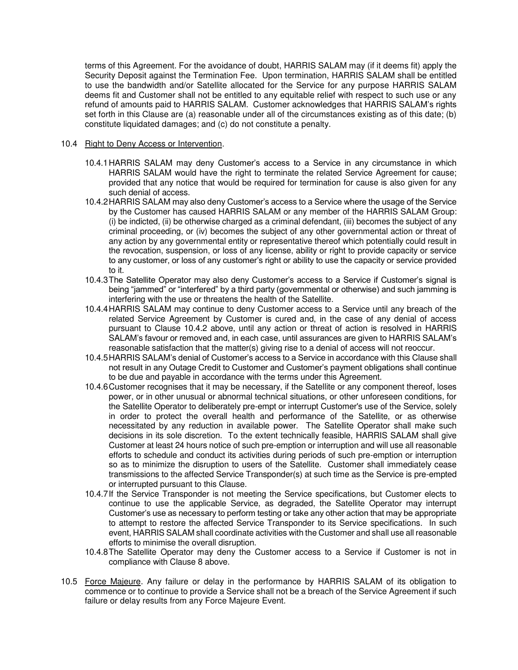terms of this Agreement. For the avoidance of doubt, HARRIS SALAM may (if it deems fit) apply the Security Deposit against the Termination Fee. Upon termination, HARRIS SALAM shall be entitled to use the bandwidth and/or Satellite allocated for the Service for any purpose HARRIS SALAM deems fit and Customer shall not be entitled to any equitable relief with respect to such use or any refund of amounts paid to HARRIS SALAM. Customer acknowledges that HARRIS SALAM's rights set forth in this Clause are (a) reasonable under all of the circumstances existing as of this date; (b) constitute liquidated damages; and (c) do not constitute a penalty.

#### 10.4 Right to Deny Access or Intervention.

- 10.4.1 HARRIS SALAM may deny Customer's access to a Service in any circumstance in which HARRIS SALAM would have the right to terminate the related Service Agreement for cause; provided that any notice that would be required for termination for cause is also given for any such denial of access.
- 10.4.2 HARRIS SALAM may also deny Customer's access to a Service where the usage of the Service by the Customer has caused HARRIS SALAM or any member of the HARRIS SALAM Group: (i) be indicted, (ii) be otherwise charged as a criminal defendant, (iii) becomes the subject of any criminal proceeding, or (iv) becomes the subject of any other governmental action or threat of any action by any governmental entity or representative thereof which potentially could result in the revocation, suspension, or loss of any license, ability or right to provide capacity or service to any customer, or loss of any customer's right or ability to use the capacity or service provided to it.
- 10.4.3 The Satellite Operator may also deny Customer's access to a Service if Customer's signal is being "jammed" or "interfered" by a third party (governmental or otherwise) and such jamming is interfering with the use or threatens the health of the Satellite.
- 10.4.4 HARRIS SALAM may continue to deny Customer access to a Service until any breach of the related Service Agreement by Customer is cured and, in the case of any denial of access pursuant to Clause 10.4.2 above, until any action or threat of action is resolved in HARRIS SALAM's favour or removed and, in each case, until assurances are given to HARRIS SALAM's reasonable satisfaction that the matter(s) giving rise to a denial of access will not reoccur.
- 10.4.5 HARRIS SALAM's denial of Customer's access to a Service in accordance with this Clause shall not result in any Outage Credit to Customer and Customer's payment obligations shall continue to be due and payable in accordance with the terms under this Agreement.
- 10.4.6 Customer recognises that it may be necessary, if the Satellite or any component thereof, loses power, or in other unusual or abnormal technical situations, or other unforeseen conditions, for the Satellite Operator to deliberately pre-empt or interrupt Customer's use of the Service, solely in order to protect the overall health and performance of the Satellite, or as otherwise necessitated by any reduction in available power. The Satellite Operator shall make such decisions in its sole discretion. To the extent technically feasible, HARRIS SALAM shall give Customer at least 24 hours notice of such pre-emption or interruption and will use all reasonable efforts to schedule and conduct its activities during periods of such pre-emption or interruption so as to minimize the disruption to users of the Satellite. Customer shall immediately cease transmissions to the affected Service Transponder(s) at such time as the Service is pre-empted or interrupted pursuant to this Clause.
- 10.4.7 If the Service Transponder is not meeting the Service specifications, but Customer elects to continue to use the applicable Service, as degraded, the Satellite Operator may interrupt Customer's use as necessary to perform testing or take any other action that may be appropriate to attempt to restore the affected Service Transponder to its Service specifications. In such event, HARRIS SALAM shall coordinate activities with the Customer and shall use all reasonable efforts to minimise the overall disruption.
- 10.4.8 The Satellite Operator may deny the Customer access to a Service if Customer is not in compliance with Clause 8 above.
- 10.5 Force Majeure. Any failure or delay in the performance by HARRIS SALAM of its obligation to commence or to continue to provide a Service shall not be a breach of the Service Agreement if such failure or delay results from any Force Majeure Event.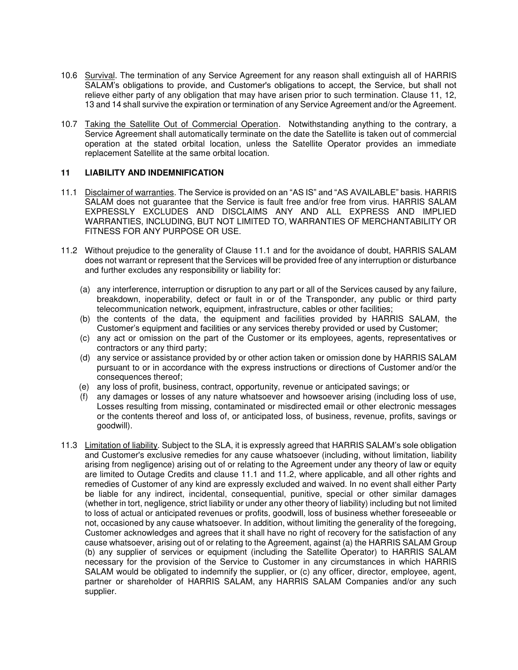- 10.6 Survival. The termination of any Service Agreement for any reason shall extinguish all of HARRIS SALAM's obligations to provide, and Customer's obligations to accept, the Service, but shall not relieve either party of any obligation that may have arisen prior to such termination. Clause 11, 12, 13 and 14 shall survive the expiration or termination of any Service Agreement and/or the Agreement.
- 10.7 Taking the Satellite Out of Commercial Operation. Notwithstanding anything to the contrary, a Service Agreement shall automatically terminate on the date the Satellite is taken out of commercial operation at the stated orbital location, unless the Satellite Operator provides an immediate replacement Satellite at the same orbital location.

#### **11 LIABILITY AND INDEMNIFICATION**

- 11.1 Disclaimer of warranties. The Service is provided on an "AS IS" and "AS AVAILABLE" basis. HARRIS SALAM does not guarantee that the Service is fault free and/or free from virus. HARRIS SALAM EXPRESSLY EXCLUDES AND DISCLAIMS ANY AND ALL EXPRESS AND IMPLIED WARRANTIES, INCLUDING, BUT NOT LIMITED TO, WARRANTIES OF MERCHANTABILITY OR FITNESS FOR ANY PURPOSE OR USE.
- 11.2 Without prejudice to the generality of Clause 11.1 and for the avoidance of doubt, HARRIS SALAM does not warrant or represent that the Services will be provided free of any interruption or disturbance and further excludes any responsibility or liability for:
	- (a) any interference, interruption or disruption to any part or all of the Services caused by any failure, breakdown, inoperability, defect or fault in or of the Transponder, any public or third party telecommunication network, equipment, infrastructure, cables or other facilities;
	- (b) the contents of the data, the equipment and facilities provided by HARRIS SALAM, the Customer's equipment and facilities or any services thereby provided or used by Customer;
	- (c) any act or omission on the part of the Customer or its employees, agents, representatives or contractors or any third party;
	- (d) any service or assistance provided by or other action taken or omission done by HARRIS SALAM pursuant to or in accordance with the express instructions or directions of Customer and/or the consequences thereof;
	- (e) any loss of profit, business, contract, opportunity, revenue or anticipated savings; or
	- (f) any damages or losses of any nature whatsoever and howsoever arising (including loss of use, Losses resulting from missing, contaminated or misdirected email or other electronic messages or the contents thereof and loss of, or anticipated loss, of business, revenue, profits, savings or goodwill).
- 11.3 Limitation of liability. Subject to the SLA, it is expressly agreed that HARRIS SALAM's sole obligation and Customer's exclusive remedies for any cause whatsoever (including, without limitation, liability arising from negligence) arising out of or relating to the Agreement under any theory of law or equity are limited to Outage Credits and clause 11.1 and 11.2, where applicable, and all other rights and remedies of Customer of any kind are expressly excluded and waived. In no event shall either Party be liable for any indirect, incidental, consequential, punitive, special or other similar damages (whether in tort, negligence, strict liability or under any other theory of liability) including but not limited to loss of actual or anticipated revenues or profits, goodwill, loss of business whether foreseeable or not, occasioned by any cause whatsoever. In addition, without limiting the generality of the foregoing, Customer acknowledges and agrees that it shall have no right of recovery for the satisfaction of any cause whatsoever, arising out of or relating to the Agreement, against (a) the HARRIS SALAM Group (b) any supplier of services or equipment (including the Satellite Operator) to HARRIS SALAM necessary for the provision of the Service to Customer in any circumstances in which HARRIS SALAM would be obligated to indemnify the supplier, or (c) any officer, director, employee, agent, partner or shareholder of HARRIS SALAM, any HARRIS SALAM Companies and/or any such supplier.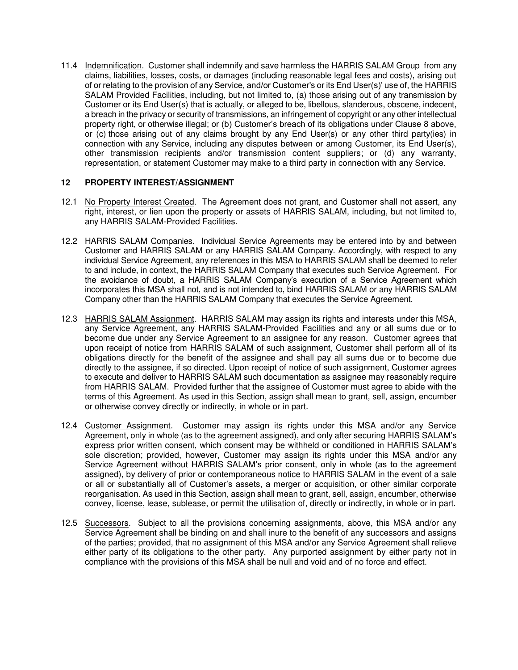11.4 Indemnification. Customer shall indemnify and save harmless the HARRIS SALAM Group from any claims, liabilities, losses, costs, or damages (including reasonable legal fees and costs), arising out of or relating to the provision of any Service, and/or Customer's or its End User(s)' use of, the HARRIS SALAM Provided Facilities, including, but not limited to, (a) those arising out of any transmission by Customer or its End User(s) that is actually, or alleged to be, libellous, slanderous, obscene, indecent, a breach in the privacy or security of transmissions, an infringement of copyright or any other intellectual property right, or otherwise illegal; or (b) Customer's breach of its obligations under Clause 8 above, or (c) those arising out of any claims brought by any End User(s) or any other third party(ies) in connection with any Service, including any disputes between or among Customer, its End User(s), other transmission recipients and/or transmission content suppliers; or (d) any warranty, representation, or statement Customer may make to a third party in connection with any Service.

#### **12 PROPERTY INTEREST/ASSIGNMENT**

- 12.1 No Property Interest Created. The Agreement does not grant, and Customer shall not assert, any right, interest, or lien upon the property or assets of HARRIS SALAM, including, but not limited to, any HARRIS SALAM-Provided Facilities.
- 12.2 HARRIS SALAM Companies. Individual Service Agreements may be entered into by and between Customer and HARRIS SALAM or any HARRIS SALAM Company. Accordingly, with respect to any individual Service Agreement, any references in this MSA to HARRIS SALAM shall be deemed to refer to and include, in context, the HARRIS SALAM Company that executes such Service Agreement. For the avoidance of doubt, a HARRIS SALAM Company's execution of a Service Agreement which incorporates this MSA shall not, and is not intended to, bind HARRIS SALAM or any HARRIS SALAM Company other than the HARRIS SALAM Company that executes the Service Agreement.
- 12.3 HARRIS SALAM Assignment. HARRIS SALAM may assign its rights and interests under this MSA, any Service Agreement, any HARRIS SALAM-Provided Facilities and any or all sums due or to become due under any Service Agreement to an assignee for any reason. Customer agrees that upon receipt of notice from HARRIS SALAM of such assignment, Customer shall perform all of its obligations directly for the benefit of the assignee and shall pay all sums due or to become due directly to the assignee, if so directed. Upon receipt of notice of such assignment, Customer agrees to execute and deliver to HARRIS SALAM such documentation as assignee may reasonably require from HARRIS SALAM. Provided further that the assignee of Customer must agree to abide with the terms of this Agreement. As used in this Section, assign shall mean to grant, sell, assign, encumber or otherwise convey directly or indirectly, in whole or in part.
- 12.4 Customer Assignment. Customer may assign its rights under this MSA and/or any Service Agreement, only in whole (as to the agreement assigned), and only after securing HARRIS SALAM's express prior written consent, which consent may be withheld or conditioned in HARRIS SALAM's sole discretion; provided, however, Customer may assign its rights under this MSA and/or any Service Agreement without HARRIS SALAM's prior consent, only in whole (as to the agreement assigned), by delivery of prior or contemporaneous notice to HARRIS SALAM in the event of a sale or all or substantially all of Customer's assets, a merger or acquisition, or other similar corporate reorganisation. As used in this Section, assign shall mean to grant, sell, assign, encumber, otherwise convey, license, lease, sublease, or permit the utilisation of, directly or indirectly, in whole or in part.
- 12.5 Successors. Subject to all the provisions concerning assignments, above, this MSA and/or any Service Agreement shall be binding on and shall inure to the benefit of any successors and assigns of the parties; provided, that no assignment of this MSA and/or any Service Agreement shall relieve either party of its obligations to the other party. Any purported assignment by either party not in compliance with the provisions of this MSA shall be null and void and of no force and effect.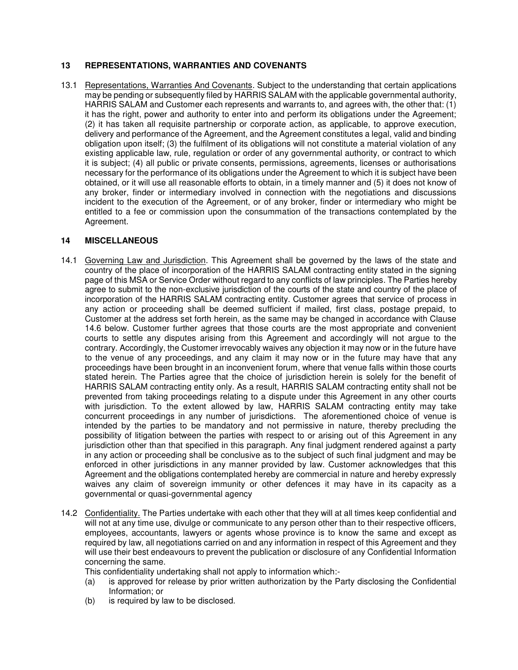## **13 REPRESENTATIONS, WARRANTIES AND COVENANTS**

13.1 Representations, Warranties And Covenants. Subject to the understanding that certain applications may be pending or subsequently filed by HARRIS SALAM with the applicable governmental authority, HARRIS SALAM and Customer each represents and warrants to, and agrees with, the other that: (1) it has the right, power and authority to enter into and perform its obligations under the Agreement; (2) it has taken all requisite partnership or corporate action, as applicable, to approve execution, delivery and performance of the Agreement, and the Agreement constitutes a legal, valid and binding obligation upon itself; (3) the fulfilment of its obligations will not constitute a material violation of any existing applicable law, rule, regulation or order of any governmental authority, or contract to which it is subject; (4) all public or private consents, permissions, agreements, licenses or authorisations necessary for the performance of its obligations under the Agreement to which it is subject have been obtained, or it will use all reasonable efforts to obtain, in a timely manner and (5) it does not know of any broker, finder or intermediary involved in connection with the negotiations and discussions incident to the execution of the Agreement, or of any broker, finder or intermediary who might be entitled to a fee or commission upon the consummation of the transactions contemplated by the Agreement.

#### **14 MISCELLANEOUS**

- 14.1 Governing Law and Jurisdiction. This Agreement shall be governed by the laws of the state and country of the place of incorporation of the HARRIS SALAM contracting entity stated in the signing page of this MSA or Service Order without regard to any conflicts of law principles. The Parties hereby agree to submit to the non-exclusive jurisdiction of the courts of the state and country of the place of incorporation of the HARRIS SALAM contracting entity. Customer agrees that service of process in any action or proceeding shall be deemed sufficient if mailed, first class, postage prepaid, to Customer at the address set forth herein, as the same may be changed in accordance with Clause 14.6 below. Customer further agrees that those courts are the most appropriate and convenient courts to settle any disputes arising from this Agreement and accordingly will not argue to the contrary. Accordingly, the Customer irrevocably waives any objection it may now or in the future have to the venue of any proceedings, and any claim it may now or in the future may have that any proceedings have been brought in an inconvenient forum, where that venue falls within those courts stated herein. The Parties agree that the choice of jurisdiction herein is solely for the benefit of HARRIS SALAM contracting entity only. As a result, HARRIS SALAM contracting entity shall not be prevented from taking proceedings relating to a dispute under this Agreement in any other courts with jurisdiction. To the extent allowed by law, HARRIS SALAM contracting entity may take concurrent proceedings in any number of jurisdictions. The aforementioned choice of venue is intended by the parties to be mandatory and not permissive in nature, thereby precluding the possibility of litigation between the parties with respect to or arising out of this Agreement in any jurisdiction other than that specified in this paragraph. Any final judgment rendered against a party in any action or proceeding shall be conclusive as to the subject of such final judgment and may be enforced in other jurisdictions in any manner provided by law. Customer acknowledges that this Agreement and the obligations contemplated hereby are commercial in nature and hereby expressly waives any claim of sovereign immunity or other defences it may have in its capacity as a governmental or quasi-governmental agency
- 14.2 Confidentiality. The Parties undertake with each other that they will at all times keep confidential and will not at any time use, divulge or communicate to any person other than to their respective officers, employees, accountants, lawyers or agents whose province is to know the same and except as required by law, all negotiations carried on and any information in respect of this Agreement and they will use their best endeavours to prevent the publication or disclosure of any Confidential Information concerning the same.

This confidentiality undertaking shall not apply to information which:-

- (a) is approved for release by prior written authorization by the Party disclosing the Confidential Information; or
- (b) is required by law to be disclosed.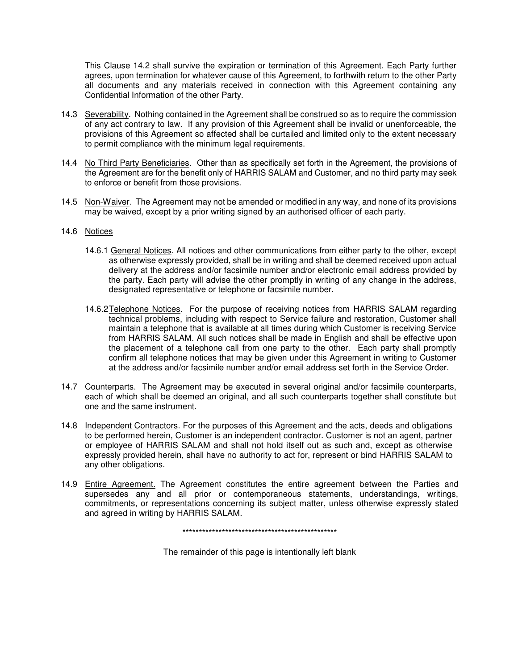This Clause 14.2 shall survive the expiration or termination of this Agreement. Each Party further agrees, upon termination for whatever cause of this Agreement, to forthwith return to the other Party all documents and any materials received in connection with this Agreement containing any Confidential Information of the other Party.

- 14.3 Severability. Nothing contained in the Agreement shall be construed so as to require the commission of any act contrary to law. If any provision of this Agreement shall be invalid or unenforceable, the provisions of this Agreement so affected shall be curtailed and limited only to the extent necessary to permit compliance with the minimum legal requirements.
- 14.4 No Third Party Beneficiaries. Other than as specifically set forth in the Agreement, the provisions of the Agreement are for the benefit only of HARRIS SALAM and Customer, and no third party may seek to enforce or benefit from those provisions.
- 14.5 Non-Waiver. The Agreement may not be amended or modified in any way, and none of its provisions may be waived, except by a prior writing signed by an authorised officer of each party.

#### 14.6 Notices

- 14.6.1 General Notices. All notices and other communications from either party to the other, except as otherwise expressly provided, shall be in writing and shall be deemed received upon actual delivery at the address and/or facsimile number and/or electronic email address provided by the party. Each party will advise the other promptly in writing of any change in the address, designated representative or telephone or facsimile number.
- 14.6.2 Telephone Notices. For the purpose of receiving notices from HARRIS SALAM regarding technical problems, including with respect to Service failure and restoration, Customer shall maintain a telephone that is available at all times during which Customer is receiving Service from HARRIS SALAM. All such notices shall be made in English and shall be effective upon the placement of a telephone call from one party to the other. Each party shall promptly confirm all telephone notices that may be given under this Agreement in writing to Customer at the address and/or facsimile number and/or email address set forth in the Service Order.
- 14.7 Counterparts. The Agreement may be executed in several original and/or facsimile counterparts, each of which shall be deemed an original, and all such counterparts together shall constitute but one and the same instrument.
- 14.8 Independent Contractors. For the purposes of this Agreement and the acts, deeds and obligations to be performed herein, Customer is an independent contractor. Customer is not an agent, partner or employee of HARRIS SALAM and shall not hold itself out as such and, except as otherwise expressly provided herein, shall have no authority to act for, represent or bind HARRIS SALAM to any other obligations.
- 14.9 Entire Agreement. The Agreement constitutes the entire agreement between the Parties and supersedes any and all prior or contemporaneous statements, understandings, writings, commitments, or representations concerning its subject matter, unless otherwise expressly stated and agreed in writing by HARRIS SALAM.

\*\*\*\*\*\*\*\*\*\*\*\*\*\*\*\*\*\*\*\*\*\*\*\*\*\*\*\*\*\*\*\*\*\*\*\*\*\*\*\*\*\*\*\*\*\*\*

The remainder of this page is intentionally left blank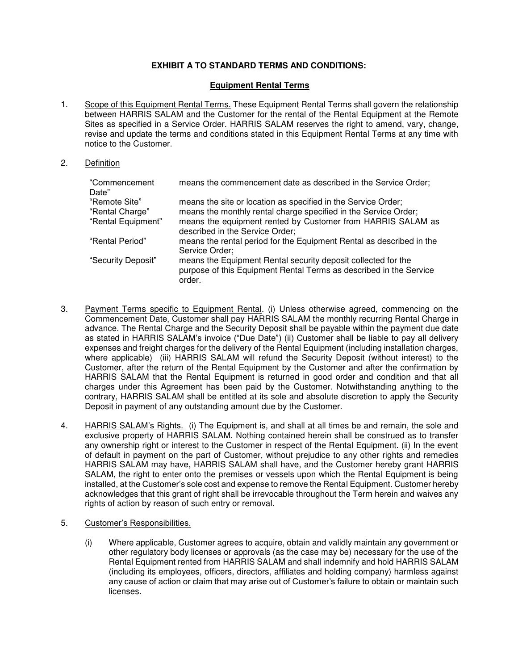# **EXHIBIT A TO STANDARD TERMS AND CONDITIONS:**

#### **Equipment Rental Terms**

1. Scope of this Equipment Rental Terms. These Equipment Rental Terms shall govern the relationship between HARRIS SALAM and the Customer for the rental of the Rental Equipment at the Remote Sites as specified in a Service Order. HARRIS SALAM reserves the right to amend, vary, change, revise and update the terms and conditions stated in this Equipment Rental Terms at any time with notice to the Customer.

#### 2. Definition

| "Commencement<br>Date"           | means the commencement date as described in the Service Order;                                                                                |
|----------------------------------|-----------------------------------------------------------------------------------------------------------------------------------------------|
| "Remote Site"<br>"Rental Charge" | means the site or location as specified in the Service Order;<br>means the monthly rental charge specified in the Service Order;              |
| "Rental Equipment"               | means the equipment rented by Customer from HARRIS SALAM as<br>described in the Service Order;                                                |
| "Rental Period"                  | means the rental period for the Equipment Rental as described in the<br>Service Order;                                                        |
| "Security Deposit"               | means the Equipment Rental security deposit collected for the<br>purpose of this Equipment Rental Terms as described in the Service<br>order. |

- 3. Payment Terms specific to Equipment Rental. (i) Unless otherwise agreed, commencing on the Commencement Date, Customer shall pay HARRIS SALAM the monthly recurring Rental Charge in advance. The Rental Charge and the Security Deposit shall be payable within the payment due date as stated in HARRIS SALAM's invoice ("Due Date") (ii) Customer shall be liable to pay all delivery expenses and freight charges for the delivery of the Rental Equipment (including installation charges, where applicable) (iii) HARRIS SALAM will refund the Security Deposit (without interest) to the Customer, after the return of the Rental Equipment by the Customer and after the confirmation by HARRIS SALAM that the Rental Equipment is returned in good order and condition and that all charges under this Agreement has been paid by the Customer. Notwithstanding anything to the contrary, HARRIS SALAM shall be entitled at its sole and absolute discretion to apply the Security Deposit in payment of any outstanding amount due by the Customer.
- 4. HARRIS SALAM's Rights. (i) The Equipment is, and shall at all times be and remain, the sole and exclusive property of HARRIS SALAM. Nothing contained herein shall be construed as to transfer any ownership right or interest to the Customer in respect of the Rental Equipment. (ii) In the event of default in payment on the part of Customer, without prejudice to any other rights and remedies HARRIS SALAM may have, HARRIS SALAM shall have, and the Customer hereby grant HARRIS SALAM, the right to enter onto the premises or vessels upon which the Rental Equipment is being installed, at the Customer's sole cost and expense to remove the Rental Equipment. Customer hereby acknowledges that this grant of right shall be irrevocable throughout the Term herein and waives any rights of action by reason of such entry or removal.
- 5. Customer's Responsibilities.
	- (i) Where applicable, Customer agrees to acquire, obtain and validly maintain any government or other regulatory body licenses or approvals (as the case may be) necessary for the use of the Rental Equipment rented from HARRIS SALAM and shall indemnify and hold HARRIS SALAM (including its employees, officers, directors, affiliates and holding company) harmless against any cause of action or claim that may arise out of Customer's failure to obtain or maintain such licenses.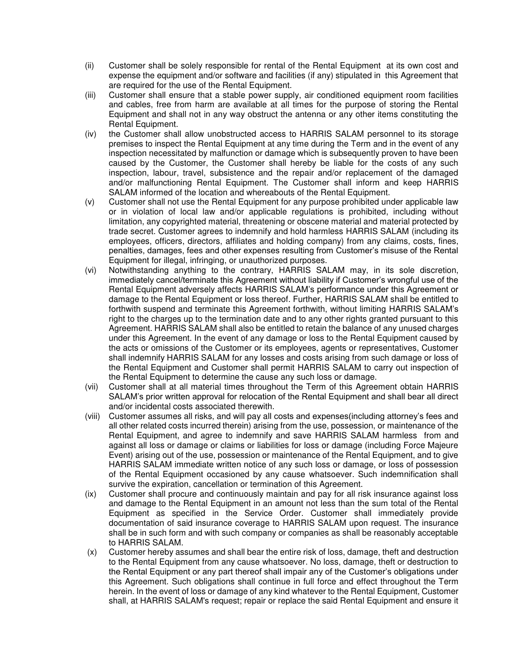- (ii) Customer shall be solely responsible for rental of the Rental Equipment at its own cost and expense the equipment and/or software and facilities (if any) stipulated in this Agreement that are required for the use of the Rental Equipment.
- (iii) Customer shall ensure that a stable power supply, air conditioned equipment room facilities and cables, free from harm are available at all times for the purpose of storing the Rental Equipment and shall not in any way obstruct the antenna or any other items constituting the Rental Equipment.
- (iv) the Customer shall allow unobstructed access to HARRIS SALAM personnel to its storage premises to inspect the Rental Equipment at any time during the Term and in the event of any inspection necessitated by malfunction or damage which is subsequently proven to have been caused by the Customer, the Customer shall hereby be liable for the costs of any such inspection, labour, travel, subsistence and the repair and/or replacement of the damaged and/or malfunctioning Rental Equipment. The Customer shall inform and keep HARRIS SALAM informed of the location and whereabouts of the Rental Equipment.
- (v) Customer shall not use the Rental Equipment for any purpose prohibited under applicable law or in violation of local law and/or applicable regulations is prohibited, including without limitation, any copyrighted material, threatening or obscene material and material protected by trade secret. Customer agrees to indemnify and hold harmless HARRIS SALAM (including its employees, officers, directors, affiliates and holding company) from any claims, costs, fines, penalties, damages, fees and other expenses resulting from Customer's misuse of the Rental Equipment for illegal, infringing, or unauthorized purposes.
- (vi) Notwithstanding anything to the contrary, HARRIS SALAM may, in its sole discretion, immediately cancel/terminate this Agreement without liability if Customer's wrongful use of the Rental Equipment adversely affects HARRIS SALAM's performance under this Agreement or damage to the Rental Equipment or loss thereof. Further, HARRIS SALAM shall be entitled to forthwith suspend and terminate this Agreement forthwith, without limiting HARRIS SALAM's right to the charges up to the termination date and to any other rights granted pursuant to this Agreement. HARRIS SALAM shall also be entitled to retain the balance of any unused charges under this Agreement. In the event of any damage or loss to the Rental Equipment caused by the acts or omissions of the Customer or its employees, agents or representatives, Customer shall indemnify HARRIS SALAM for any losses and costs arising from such damage or loss of the Rental Equipment and Customer shall permit HARRIS SALAM to carry out inspection of the Rental Equipment to determine the cause any such loss or damage.
- (vii) Customer shall at all material times throughout the Term of this Agreement obtain HARRIS SALAM's prior written approval for relocation of the Rental Equipment and shall bear all direct and/or incidental costs associated therewith.
- (viii) Customer assumes all risks, and will pay all costs and expenses(including attorney's fees and all other related costs incurred therein) arising from the use, possession, or maintenance of the Rental Equipment, and agree to indemnify and save HARRIS SALAM harmless from and against all loss or damage or claims or liabilities for loss or damage (including Force Majeure Event) arising out of the use, possession or maintenance of the Rental Equipment, and to give HARRIS SALAM immediate written notice of any such loss or damage, or loss of possession of the Rental Equipment occasioned by any cause whatsoever. Such indemnification shall survive the expiration, cancellation or termination of this Agreement.
- (ix) Customer shall procure and continuously maintain and pay for all risk insurance against loss and damage to the Rental Equipment in an amount not less than the sum total of the Rental Equipment as specified in the Service Order. Customer shall immediately provide documentation of said insurance coverage to HARRIS SALAM upon request. The insurance shall be in such form and with such company or companies as shall be reasonably acceptable to HARRIS SALAM.
- (x) Customer hereby assumes and shall bear the entire risk of loss, damage, theft and destruction to the Rental Equipment from any cause whatsoever. No loss, damage, theft or destruction to the Rental Equipment or any part thereof shall impair any of the Customer's obligations under this Agreement. Such obligations shall continue in full force and effect throughout the Term herein. In the event of loss or damage of any kind whatever to the Rental Equipment, Customer shall, at HARRIS SALAM's request; repair or replace the said Rental Equipment and ensure it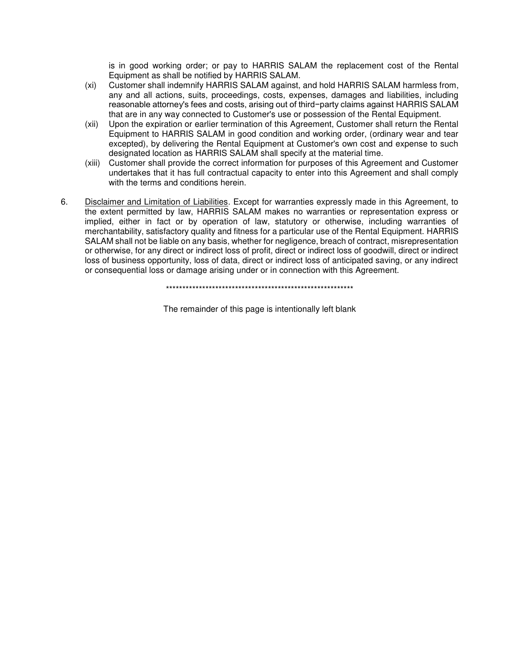is in good working order; or pay to HARRIS SALAM the replacement cost of the Rental Equipment as shall be notified by HARRIS SALAM.

- (xi) Customer shall indemnify HARRIS SALAM against, and hold HARRIS SALAM harmless from, any and all actions, suits, proceedings, costs, expenses, damages and liabilities, including reasonable attorney's fees and costs, arising out of third−party claims against HARRIS SALAM that are in any way connected to Customer's use or possession of the Rental Equipment.
- (xii) Upon the expiration or earlier termination of this Agreement, Customer shall return the Rental Equipment to HARRIS SALAM in good condition and working order, (ordinary wear and tear excepted), by delivering the Rental Equipment at Customer's own cost and expense to such designated location as HARRIS SALAM shall specify at the material time.
- (xiii) Customer shall provide the correct information for purposes of this Agreement and Customer undertakes that it has full contractual capacity to enter into this Agreement and shall comply with the terms and conditions herein.
- 6. Disclaimer and Limitation of Liabilities. Except for warranties expressly made in this Agreement, to the extent permitted by law, HARRIS SALAM makes no warranties or representation express or implied, either in fact or by operation of law, statutory or otherwise, including warranties of merchantability, satisfactory quality and fitness for a particular use of the Rental Equipment. HARRIS SALAM shall not be liable on any basis, whether for negligence, breach of contract, misrepresentation or otherwise, for any direct or indirect loss of profit, direct or indirect loss of goodwill, direct or indirect loss of business opportunity, loss of data, direct or indirect loss of anticipated saving, or any indirect or consequential loss or damage arising under or in connection with this Agreement.

\*\*\*\*\*\*\*\*\*\*\*\*\*\*\*\*\*\*\*\*\*\*\*\*\*\*\*\*\*\*\*\*\*\*\*\*\*\*\*\*\*\*\*\*\*\*\*\*\*\*\*\*\*\*\*\*\*

The remainder of this page is intentionally left blank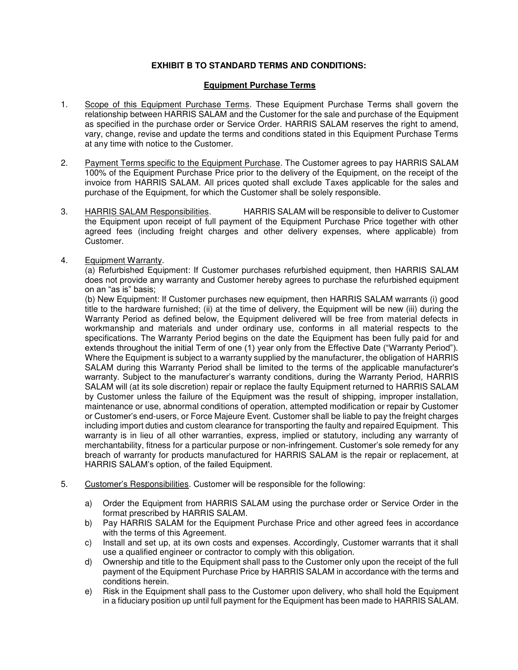# **EXHIBIT B TO STANDARD TERMS AND CONDITIONS:**

#### **Equipment Purchase Terms**

- 1. Scope of this Equipment Purchase Terms. These Equipment Purchase Terms shall govern the relationship between HARRIS SALAM and the Customer for the sale and purchase of the Equipment as specified in the purchase order or Service Order. HARRIS SALAM reserves the right to amend, vary, change, revise and update the terms and conditions stated in this Equipment Purchase Terms at any time with notice to the Customer.
- 2. Payment Terms specific to the Equipment Purchase. The Customer agrees to pay HARRIS SALAM 100% of the Equipment Purchase Price prior to the delivery of the Equipment, on the receipt of the invoice from HARRIS SALAM. All prices quoted shall exclude Taxes applicable for the sales and purchase of the Equipment, for which the Customer shall be solely responsible.
- 3. HARRIS SALAM Responsibilities. HARRIS SALAM will be responsible to deliver to Customer the Equipment upon receipt of full payment of the Equipment Purchase Price together with other agreed fees (including freight charges and other delivery expenses, where applicable) from Customer.
- 4. Equipment Warranty.

 (a) Refurbished Equipment: If Customer purchases refurbished equipment, then HARRIS SALAM does not provide any warranty and Customer hereby agrees to purchase the refurbished equipment on an "as is" basis;

 (b) New Equipment: If Customer purchases new equipment, then HARRIS SALAM warrants (i) good title to the hardware furnished; (ii) at the time of delivery, the Equipment will be new (iii) during the Warranty Period as defined below, the Equipment delivered will be free from material defects in workmanship and materials and under ordinary use, conforms in all material respects to the specifications. The Warranty Period begins on the date the Equipment has been fully paid for and extends throughout the initial Term of one (1) year only from the Effective Date ("Warranty Period"). Where the Equipment is subject to a warranty supplied by the manufacturer, the obligation of HARRIS SALAM during this Warranty Period shall be limited to the terms of the applicable manufacturer's warranty. Subject to the manufacturer's warranty conditions, during the Warranty Period, HARRIS SALAM will (at its sole discretion) repair or replace the faulty Equipment returned to HARRIS SALAM by Customer unless the failure of the Equipment was the result of shipping, improper installation, maintenance or use, abnormal conditions of operation, attempted modification or repair by Customer or Customer's end-users, or Force Majeure Event. Customer shall be liable to pay the freight charges including import duties and custom clearance for transporting the faulty and repaired Equipment. This warranty is in lieu of all other warranties, express, implied or statutory, including any warranty of merchantability, fitness for a particular purpose or non-infringement. Customer's sole remedy for any breach of warranty for products manufactured for HARRIS SALAM is the repair or replacement, at HARRIS SALAM's option, of the failed Equipment.

- 5. Customer's Responsibilities. Customer will be responsible for the following:
	- a) Order the Equipment from HARRIS SALAM using the purchase order or Service Order in the format prescribed by HARRIS SALAM.
	- b) Pay HARRIS SALAM for the Equipment Purchase Price and other agreed fees in accordance with the terms of this Agreement.
	- c) Install and set up, at its own costs and expenses. Accordingly, Customer warrants that it shall use a qualified engineer or contractor to comply with this obligation.
	- d) Ownership and title to the Equipment shall pass to the Customer only upon the receipt of the full payment of the Equipment Purchase Price by HARRIS SALAM in accordance with the terms and conditions herein.
	- e) Risk in the Equipment shall pass to the Customer upon delivery, who shall hold the Equipment in a fiduciary position up until full payment for the Equipment has been made to HARRIS SALAM.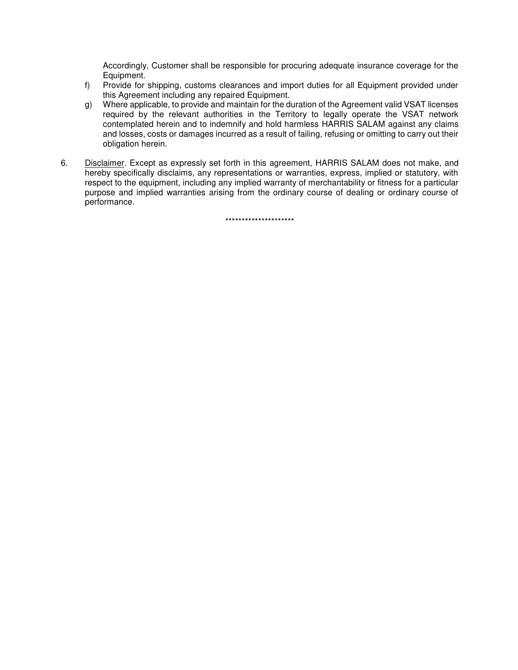Accordingly, Customer shall be responsible for procuring adequate insurance coverage for the Equipment.

- f) Provide for shipping, customs clearances and import duties for all Equipment provided under this Agreement including any repaired Equipment.
- g) Where applicable, to provide and maintain for the duration of the Agreement valid VSAT licenses required by the relevant authorities in the Territory to legally operate the VSAT network contemplated herein and to indemnify and hold harmless HARRIS SALAM against any claims and losses, costs or damages incurred as a result of failing, refusing or omitting to carry out their obligation herein.
- 6. Disclaimer. Except as expressly set forth in this agreement, HARRIS SALAM does not make, and hereby specifically disclaims, any representations or warranties, express, implied or statutory, with respect to the equipment, including any implied warranty of merchantability or fitness for a particular purpose and implied warranties arising from the ordinary course of dealing or ordinary course of performance.

\*\*\*\*\*\*\*\*\*\*\*\*\*\*\*\*\*\*\*\*\*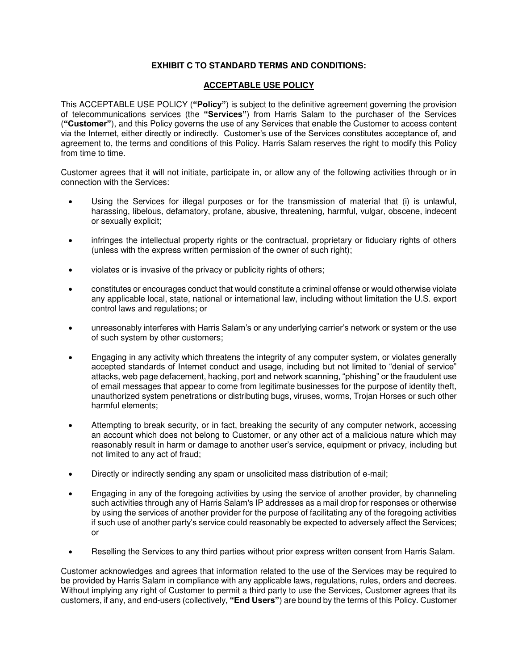## **EXHIBIT C TO STANDARD TERMS AND CONDITIONS:**

#### **ACCEPTABLE USE POLICY**

This ACCEPTABLE USE POLICY (**"Policy"**) is subject to the definitive agreement governing the provision of telecommunications services (the **"Services"**) from Harris Salam to the purchaser of the Services (**"Customer"**), and this Policy governs the use of any Services that enable the Customer to access content via the Internet, either directly or indirectly. Customer's use of the Services constitutes acceptance of, and agreement to, the terms and conditions of this Policy. Harris Salam reserves the right to modify this Policy from time to time.

Customer agrees that it will not initiate, participate in, or allow any of the following activities through or in connection with the Services:

- Using the Services for illegal purposes or for the transmission of material that (i) is unlawful, harassing, libelous, defamatory, profane, abusive, threatening, harmful, vulgar, obscene, indecent or sexually explicit;
- infringes the intellectual property rights or the contractual, proprietary or fiduciary rights of others (unless with the express written permission of the owner of such right);
- violates or is invasive of the privacy or publicity rights of others;
- constitutes or encourages conduct that would constitute a criminal offense or would otherwise violate any applicable local, state, national or international law, including without limitation the U.S. export control laws and regulations; or
- unreasonably interferes with Harris Salam's or any underlying carrier's network or system or the use of such system by other customers;
- Engaging in any activity which threatens the integrity of any computer system, or violates generally accepted standards of Internet conduct and usage, including but not limited to "denial of service" attacks, web page defacement, hacking, port and network scanning, "phishing" or the fraudulent use of email messages that appear to come from legitimate businesses for the purpose of identity theft, unauthorized system penetrations or distributing bugs, viruses, worms, Trojan Horses or such other harmful elements;
- Attempting to break security, or in fact, breaking the security of any computer network, accessing an account which does not belong to Customer, or any other act of a malicious nature which may reasonably result in harm or damage to another user's service, equipment or privacy, including but not limited to any act of fraud;
- Directly or indirectly sending any spam or unsolicited mass distribution of e-mail;
- Engaging in any of the foregoing activities by using the service of another provider, by channeling such activities through any of Harris Salam's IP addresses as a mail drop for responses or otherwise by using the services of another provider for the purpose of facilitating any of the foregoing activities if such use of another party's service could reasonably be expected to adversely affect the Services; or
- Reselling the Services to any third parties without prior express written consent from Harris Salam.

Customer acknowledges and agrees that information related to the use of the Services may be required to be provided by Harris Salam in compliance with any applicable laws, regulations, rules, orders and decrees. Without implying any right of Customer to permit a third party to use the Services, Customer agrees that its customers, if any, and end-users (collectively, **"End Users"**) are bound by the terms of this Policy. Customer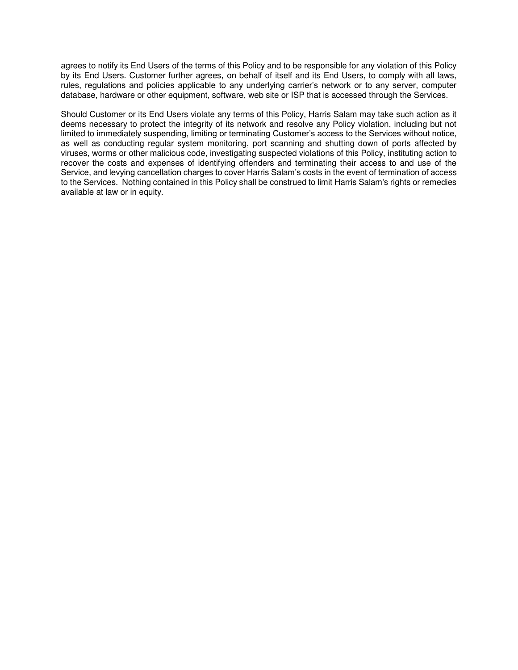agrees to notify its End Users of the terms of this Policy and to be responsible for any violation of this Policy by its End Users. Customer further agrees, on behalf of itself and its End Users, to comply with all laws, rules, regulations and policies applicable to any underlying carrier's network or to any server, computer database, hardware or other equipment, software, web site or ISP that is accessed through the Services.

Should Customer or its End Users violate any terms of this Policy, Harris Salam may take such action as it deems necessary to protect the integrity of its network and resolve any Policy violation, including but not limited to immediately suspending, limiting or terminating Customer's access to the Services without notice, as well as conducting regular system monitoring, port scanning and shutting down of ports affected by viruses, worms or other malicious code, investigating suspected violations of this Policy, instituting action to recover the costs and expenses of identifying offenders and terminating their access to and use of the Service, and levying cancellation charges to cover Harris Salam's costs in the event of termination of access to the Services. Nothing contained in this Policy shall be construed to limit Harris Salam's rights or remedies available at law or in equity.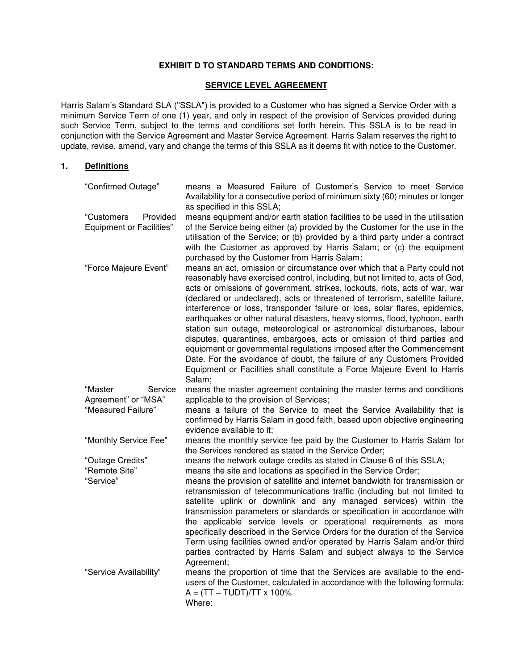## **EXHIBIT D TO STANDARD TERMS AND CONDITIONS:**

# **SERVICE LEVEL AGREEMENT**

Harris Salam's Standard SLA ("SSLA") is provided to a Customer who has signed a Service Order with a minimum Service Term of one (1) year, and only in respect of the provision of Services provided during such Service Term, subject to the terms and conditions set forth herein. This SSLA is to be read in conjunction with the Service Agreement and Master Service Agreement. Harris Salam reserves the right to update, revise, amend, vary and change the terms of this SSLA as it deems fit with notice to the Customer.

#### **1. Definitions**

| "Confirmed Outage"                                        | means a Measured Failure of Customer's Service to meet Service<br>Availability for a consecutive period of minimum sixty (60) minutes or longer<br>as specified in this SSLA;                                                                                                                                                                                                                                                                                                                                                                                                                                                                                                                                                                                                                                                                                                           |
|-----------------------------------------------------------|-----------------------------------------------------------------------------------------------------------------------------------------------------------------------------------------------------------------------------------------------------------------------------------------------------------------------------------------------------------------------------------------------------------------------------------------------------------------------------------------------------------------------------------------------------------------------------------------------------------------------------------------------------------------------------------------------------------------------------------------------------------------------------------------------------------------------------------------------------------------------------------------|
| "Customers<br>Provided<br><b>Equipment or Facilities"</b> | means equipment and/or earth station facilities to be used in the utilisation<br>of the Service being either (a) provided by the Customer for the use in the<br>utilisation of the Service; or (b) provided by a third party under a contract<br>with the Customer as approved by Harris Salam; or (c) the equipment<br>purchased by the Customer from Harris Salam;                                                                                                                                                                                                                                                                                                                                                                                                                                                                                                                    |
| "Force Majeure Event"                                     | means an act, omission or circumstance over which that a Party could not<br>reasonably have exercised control, including, but not limited to, acts of God,<br>acts or omissions of government, strikes, lockouts, riots, acts of war, war<br>(declared or undeclared), acts or threatened of terrorism, satellite failure,<br>interference or loss, transponder failure or loss, solar flares, epidemics,<br>earthquakes or other natural disasters, heavy storms, flood, typhoon, earth<br>station sun outage, meteorological or astronomical disturbances, labour<br>disputes, quarantines, embargoes, acts or omission of third parties and<br>equipment or governmental regulations imposed after the Commencement<br>Date. For the avoidance of doubt, the failure of any Customers Provided<br>Equipment or Facilities shall constitute a Force Majeure Event to Harris<br>Salam; |
| "Master<br>Service                                        | means the master agreement containing the master terms and conditions                                                                                                                                                                                                                                                                                                                                                                                                                                                                                                                                                                                                                                                                                                                                                                                                                   |
| Agreement" or "MSA"<br>"Measured Failure"                 | applicable to the provision of Services;                                                                                                                                                                                                                                                                                                                                                                                                                                                                                                                                                                                                                                                                                                                                                                                                                                                |
|                                                           | means a failure of the Service to meet the Service Availability that is<br>confirmed by Harris Salam in good faith, based upon objective engineering<br>evidence available to it;                                                                                                                                                                                                                                                                                                                                                                                                                                                                                                                                                                                                                                                                                                       |
| "Monthly Service Fee"                                     | means the monthly service fee paid by the Customer to Harris Salam for<br>the Services rendered as stated in the Service Order;                                                                                                                                                                                                                                                                                                                                                                                                                                                                                                                                                                                                                                                                                                                                                         |
| "Outage Credits"<br>"Remote Site"                         | means the network outage credits as stated in Clause 6 of this SSLA;                                                                                                                                                                                                                                                                                                                                                                                                                                                                                                                                                                                                                                                                                                                                                                                                                    |
| "Service"                                                 | means the site and locations as specified in the Service Order;<br>means the provision of satellite and internet bandwidth for transmission or<br>retransmission of telecommunications traffic (including but not limited to<br>satellite uplink or downlink and any managed services) within the<br>transmission parameters or standards or specification in accordance with<br>the applicable service levels or operational requirements as more<br>specifically described in the Service Orders for the duration of the Service<br>Term using facilities owned and/or operated by Harris Salam and/or third<br>parties contracted by Harris Salam and subject always to the Service<br>Agreement;                                                                                                                                                                                    |
| "Service Availability"                                    | means the proportion of time that the Services are available to the end-<br>users of the Customer, calculated in accordance with the following formula:<br>$A = (TT - TUDT)/TT \times 100\%$<br>Where:                                                                                                                                                                                                                                                                                                                                                                                                                                                                                                                                                                                                                                                                                  |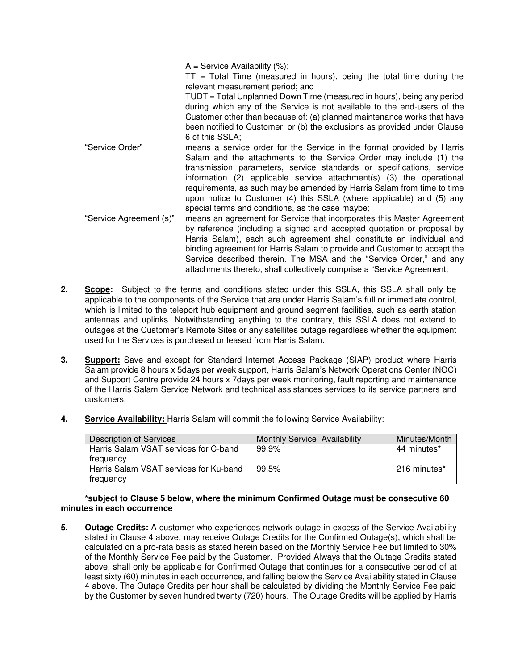$A =$  Service Availability  $(%)$ ;

 $TT = Total Time$  (measured in hours), being the total time during the relevant measurement period; and

TUDT = Total Unplanned Down Time (measured in hours), being any period during which any of the Service is not available to the end-users of the Customer other than because of: (a) planned maintenance works that have been notified to Customer; or (b) the exclusions as provided under Clause 6 of this SSLA;

- "Service Order" means a service order for the Service in the format provided by Harris Salam and the attachments to the Service Order may include (1) the transmission parameters, service standards or specifications, service information (2) applicable service attachment(s) (3) the operational requirements, as such may be amended by Harris Salam from time to time upon notice to Customer (4) this SSLA (where applicable) and (5) any special terms and conditions, as the case maybe;
- "Service Agreement (s)" means an agreement for Service that incorporates this Master Agreement by reference (including a signed and accepted quotation or proposal by Harris Salam), each such agreement shall constitute an individual and binding agreement for Harris Salam to provide and Customer to accept the Service described therein. The MSA and the "Service Order," and any attachments thereto, shall collectively comprise a "Service Agreement;
- **2. Scope:** Subject to the terms and conditions stated under this SSLA, this SSLA shall only be applicable to the components of the Service that are under Harris Salam's full or immediate control, which is limited to the teleport hub equipment and ground segment facilities, such as earth station antennas and uplinks. Notwithstanding anything to the contrary, this SSLA does not extend to outages at the Customer's Remote Sites or any satellites outage regardless whether the equipment used for the Services is purchased or leased from Harris Salam.
- **3. Support:** Save and except for Standard Internet Access Package (SIAP) product where Harris Salam provide 8 hours x 5days per week support, Harris Salam's Network Operations Center (NOC) and Support Centre provide 24 hours x 7days per week monitoring, fault reporting and maintenance of the Harris Salam Service Network and technical assistances services to its service partners and customers.
- **4. Service Availability:** Harris Salam will commit the following Service Availability:

| Description of Services                | Monthly Service Availability | Minutes/Month |
|----------------------------------------|------------------------------|---------------|
| Harris Salam VSAT services for C-band  | 99.9%                        | 44 minutes*   |
| treauency                              |                              |               |
| Harris Salam VSAT services for Ku-band | 99.5%                        | 216 minutes*  |
| trequency                              |                              |               |

**\*subject to Clause 5 below, where the minimum Confirmed Outage must be consecutive 60 minutes in each occurrence**

**5. Outage Credits:** A customer who experiences network outage in excess of the Service Availability stated in Clause 4 above, may receive Outage Credits for the Confirmed Outage(s), which shall be calculated on a pro-rata basis as stated herein based on the Monthly Service Fee but limited to 30% of the Monthly Service Fee paid by the Customer. Provided Always that the Outage Credits stated above, shall only be applicable for Confirmed Outage that continues for a consecutive period of at least sixty (60) minutes in each occurrence, and falling below the Service Availability stated in Clause 4 above. The Outage Credits per hour shall be calculated by dividing the Monthly Service Fee paid by the Customer by seven hundred twenty (720) hours. The Outage Credits will be applied by Harris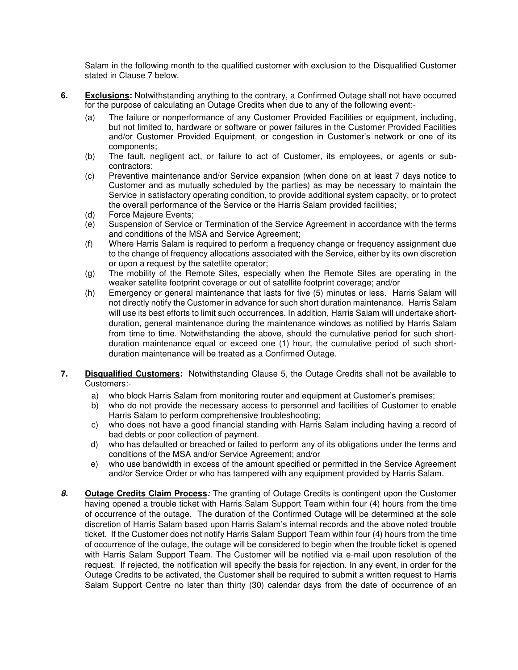Salam in the following month to the qualified customer with exclusion to the Disqualified Customer stated in Clause 7 below.

- **6. Exclusions:** Notwithstanding anything to the contrary, a Confirmed Outage shall not have occurred for the purpose of calculating an Outage Credits when due to any of the following event:-
	- (a) The failure or nonperformance of any Customer Provided Facilities or equipment, including, but not limited to, hardware or software or power failures in the Customer Provided Facilities and/or Customer Provided Equipment, or congestion in Customer's network or one of its components;
	- (b) The fault, negligent act, or failure to act of Customer, its employees, or agents or subcontractors;
	- (c) Preventive maintenance and/or Service expansion (when done on at least 7 days notice to Customer and as mutually scheduled by the parties) as may be necessary to maintain the Service in satisfactory operating condition, to provide additional system capacity, or to protect the overall performance of the Service or the Harris Salam provided facilities;
	-
	- (d) Force Majeure Events;<br>(e) Suspension of Service Suspension of Service or Termination of the Service Agreement in accordance with the terms and conditions of the MSA and Service Agreement;
	- (f) Where Harris Salam is required to perform a frequency change or frequency assignment due to the change of frequency allocations associated with the Service, either by its own discretion or upon a request by the satetlite operator;
	- (g) The mobility of the Remote Sites, especially when the Remote Sites are operating in the weaker satellite footprint coverage or out of satellite footprint coverage; and/or
	- (h) Emergency or general maintenance that lasts for five (5) minutes or less. Harris Salam will not directly notify the Customer in advance for such short duration maintenance. Harris Salam will use its best efforts to limit such occurrences. In addition, Harris Salam will undertake shortduration, general maintenance during the maintenance windows as notified by Harris Salam from time to time. Notwithstanding the above, should the cumulative period for such shortduration maintenance equal or exceed one (1) hour, the cumulative period of such shortduration maintenance will be treated as a Confirmed Outage.
- **7. Disqualified Customers:** Notwithstanding Clause 5, the Outage Credits shall not be available to Customers:
	- a) who block Harris Salam from monitoring router and equipment at Customer's premises;
	- b) who do not provide the necessary access to personnel and facilities of Customer to enable Harris Salam to perform comprehensive troubleshooting;
	- c) who does not have a good financial standing with Harris Salam including having a record of bad debts or poor collection of payment.
	- d) who has defaulted or breached or failed to perform any of its obligations under the terms and conditions of the MSA and/or Service Agreement; and/or
	- e) who use bandwidth in excess of the amount specified or permitted in the Service Agreement and/or Service Order or who has tampered with any equipment provided by Harris Salam.
- *8.* **Outage Credits Claim Process***:* The granting of Outage Credits is contingent upon the Customer having opened a trouble ticket with Harris Salam Support Team within four (4) hours from the time of occurrence of the outage. The duration of the Confirmed Outage will be determined at the sole discretion of Harris Salam based upon Harris Salam's internal records and the above noted trouble ticket. If the Customer does not notify Harris Salam Support Team within four (4) hours from the time of occurrence of the outage, the outage will be considered to begin when the trouble ticket is opened with Harris Salam Support Team. The Customer will be notified via e-mail upon resolution of the request. If rejected, the notification will specify the basis for rejection. In any event, in order for the Outage Credits to be activated, the Customer shall be required to submit a written request to Harris Salam Support Centre no later than thirty (30) calendar days from the date of occurrence of an